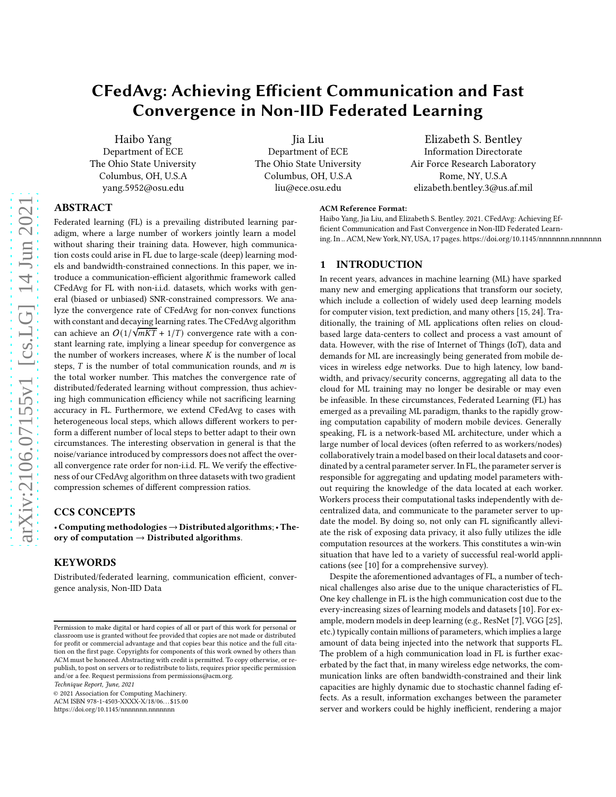# CFedAvg: Achieving Efficient Communication and Fast Convergence in Non-IID Federated Learning

Haibo Yang Department of ECE The Ohio State University Columbus, OH, U.S.A yang.5952@osu.edu

Jia Liu Department of ECE The Ohio State University Columbus, OH, U.S.A liu@ece.osu.edu

Elizabeth S. Bentley Information Directorate Air Force Research Laboratory Rome, NY, U.S.A elizabeth.bentley.3@us.af.mil

# ABSTRACT

Federated learning (FL) is a prevailing distributed learning paradigm, where a large number of workers jointly learn a model without sharing their training data. However, high communication costs could arise in FL due to large-scale (deep) learning models and bandwidth-constrained connections. In this paper, we introduce a communication-efficient algorithmic framework called CFedAvg for FL with non-i.i.d. datasets, which works with general (biased or unbiased) SNR-constrained compressors. We analyze the convergence rate of CFedAvg for non-convex functions with constant and decaying learning rates. The CFedAvg algorithm can achieve an  $O(1/\sqrt{mKT} + 1/T)$  convergence rate with a constant learning rate, implying a linear speedup for convergence as the number of workers increases, where  $K$  is the number of local steps,  $T$  is the number of total communication rounds, and  $m$  is the total worker number. This matches the convergence rate of distributed/federated learning without compression, thus achieving high communication efficiency while not sacrificing learning accuracy in FL. Furthermore, we extend CFedAvg to cases with heterogeneous local steps, which allows different workers to perform a different number of local steps to better adapt to their own circumstances. The interesting observation in general is that the noise/variance introduced by compressors does not affect the overall convergence rate order for non-i.i.d. FL. We verify the effectiveness of our CFedAvg algorithm on three datasets with two gradient compression schemes of different compression ratios.

# CCS CONCEPTS

• Computing methodologies→Distributed algorithms; • Theory of computation  $\rightarrow$  Distributed algorithms.

# **KEYWORDS**

Distributed/federated learning, communication efficient, convergence analysis, Non-IID Data

Technique Report, June, 2021

© 2021 Association for Computing Machinery. ACM ISBN 978-1-4503-XXXX-X/18/06. . . \$15.00

<https://doi.org/10.1145/nnnnnnn.nnnnnnn>

#### ACM Reference Format:

Haibo Yang, Jia Liu, and Elizabeth S. Bentley. 2021. CFedAvg: Achieving Efficient Communication and Fast Convergence in Non-IID Federated Learning. In ..ACM, New York, NY, USA, [17](#page-16-0) pages.<https://doi.org/10.1145/nnnnnnn.nnnnnnn>

# 1 INTRODUCTION

In recent years, advances in machine learning (ML) have sparked many new and emerging applications that transform our society, which include a collection of widely used deep learning models for computer vision, text prediction, and many others [\[15,](#page-8-0) [24](#page-8-1)]. Traditionally, the training of ML applications often relies on cloudbased large data-centers to collect and process a vast amount of data. However, with the rise of Internet of Things (IoT), data and demands for ML are increasingly being generated from mobile devices in wireless edge networks. Due to high latency, low bandwidth, and privacy/security concerns, aggregating all data to the cloud for ML training may no longer be desirable or may even be infeasible. In these circumstances, Federated Learning (FL) has emerged as a prevailing ML paradigm, thanks to the rapidly growing computation capability of modern mobile devices. Generally speaking, FL is a network-based ML architecture, under which a large number of local devices (often referred to as workers/nodes) collaboratively train a model based on their local datasets and coordinated by a central parameter server. In FL, the parameter server is responsible for aggregating and updating model parameters without requiring the knowledge of the data located at each worker. Workers process their computational tasks independently with decentralized data, and communicate to the parameter server to update the model. By doing so, not only can FL significantly alleviate the risk of exposing data privacy, it also fully utilizes the idle computation resources at the workers. This constitutes a win-win situation that have led to a variety of successful real-world applications (see [\[10](#page-8-2)] for a comprehensive survey).

Despite the aforementioned advantages of FL, a number of technical challenges also arise due to the unique characteristics of FL. One key challenge in FL is the high communication cost due to the every-increasing sizes of learning models and datasets [\[10](#page-8-2)]. For example, modern models in deep learning (e.g., ResNet [\[7\]](#page-8-3), VGG [\[25](#page-8-4)], etc.) typically contain millions of parameters, which implies a large amount of data being injected into the network that supports FL. The problem of a high communication load in FL is further exacerbated by the fact that, in many wireless edge networks, the communication links are often bandwidth-constrained and their link capacities are highly dynamic due to stochastic channel fading effects. As a result, information exchanges between the parameter server and workers could be highly inefficient, rendering a major

Permission to make digital or hard copies of all or part of this work for personal or classroom use is granted without fee provided that copies are not made or distributed for profit or commercial advantage and that copies bear this notice and the full citation on the first page. Copyrights for components of this work owned by others than ACM must be honored. Abstracting with credit is permitted. To copy otherwise, or republish, to post on servers or to redistribute to lists, requires prior specific permission and/or a fee. Request permissions from permissions@acm.org.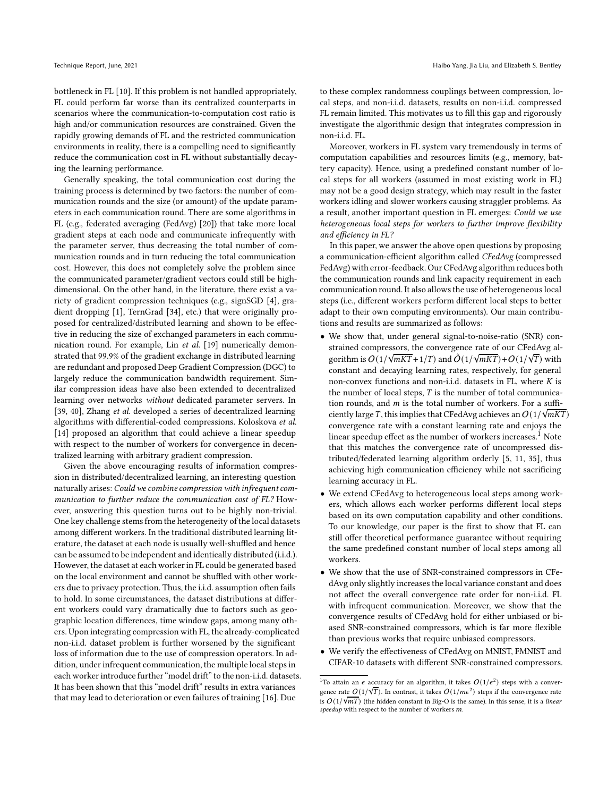bottleneck in FL [\[10\]](#page-8-2). If this problem is not handled appropriately, FL could perform far worse than its centralized counterparts in scenarios where the communication-to-computation cost ratio is high and/or communication resources are constrained. Given the rapidly growing demands of FL and the restricted communication environments in reality, there is a compelling need to significantly reduce the communication cost in FL without substantially decaying the learning performance.

Generally speaking, the total communication cost during the training process is determined by two factors: the number of communication rounds and the size (or amount) of the update parameters in each communication round. There are some algorithms in FL (e.g., federated averaging (FedAvg) [\[20\]](#page-8-5)) that take more local gradient steps at each node and communicate infrequently with the parameter server, thus decreasing the total number of communication rounds and in turn reducing the total communication cost. However, this does not completely solve the problem since the communicated parameter/gradient vectors could still be highdimensional. On the other hand, in the literature, there exist a variety of gradient compression techniques (e.g., signSGD [\[4\]](#page-8-6), gradient dropping [\[1](#page-8-7)], TernGrad [\[34\]](#page-8-8), etc.) that were originally proposed for centralized/distributed learning and shown to be effective in reducing the size of exchanged parameters in each communication round. For example, Lin et al. [\[19\]](#page-8-9) numerically demonstrated that 99.9% of the gradient exchange in distributed learning are redundant and proposed Deep Gradient Compression (DGC) to largely reduce the communication bandwidth requirement. Similar compression ideas have also been extended to decentralized learning over networks without dedicated parameter servers. In [\[39](#page-8-10), [40](#page-8-11)], Zhang et al. developed a series of decentralized learning algorithms with differential-coded compressions. Koloskova et al. [\[14](#page-8-12)] proposed an algorithm that could achieve a linear speedup with respect to the number of workers for convergence in decentralized learning with arbitrary gradient compression.

Given the above encouraging results of information compression in distributed/decentralized learning, an interesting question naturally arises: Could we combine compression with infrequent communication to further reduce the communication cost of FL? However, answering this question turns out to be highly non-trivial. One key challenge stems from the heterogeneity of the local datasets among different workers. In the traditional distributed learning literature, the dataset at each node is usually well-shuffled and hence can be assumed to be independent and identically distributed (i.i.d.). However, the dataset at each worker in FL could be generated based on the local environment and cannot be shuffled with other workers due to privacy protection. Thus, the i.i.d. assumption often fails to hold. In some circumstances, the dataset distributions at different workers could vary dramatically due to factors such as geographic location differences, time window gaps, among many others. Upon integrating compression with FL, the already-complicated non-i.i.d. dataset problem is further worsened by the significant loss of information due to the use of compression operators. In addition, under infrequent communication, the multiple local steps in each worker introduce further "model drift" to the non-i.i.d. datasets. It has been shown that this "model drift" results in extra variances that may lead to deterioration or even failures of training [\[16](#page-8-13)]. Due

to these complex randomness couplings between compression, local steps, and non-i.i.d. datasets, results on non-i.i.d. compressed FL remain limited. This motivates us to fill this gap and rigorously investigate the algorithmic design that integrates compression in non-i.i.d. FL.

Moreover, workers in FL system vary tremendously in terms of computation capabilities and resources limits (e.g., memory, battery capacity). Hence, using a predefined constant number of local steps for all workers (assumed in most existing work in FL) may not be a good design strategy, which may result in the faster workers idling and slower workers causing straggler problems. As a result, another important question in FL emerges: Could we use heterogeneous local steps for workers to further improve flexibility and efficiency in FL?

In this paper, we answer the above open questions by proposing a communication-efficient algorithm called CFedAvg (compressed FedAvg) with error-feedback. Our CFedAvg algorithm reduces both the communication rounds and link capacity requirement in each communication round. It also allows the use of heterogeneous local steps (i.e., different workers perform different local steps to better adapt to their own computing environments). Our main contributions and results are summarized as follows:

- We show that, under general signal-to-noise-ratio (SNR) constrained compressors, the convergence rate of our CFedAvg algorithm is  $O(1/\sqrt{mKT}+1/T)$  and  $O(1/\sqrt{mKT})+O(1/\sqrt{T})$  with constant and decaying learning rates, respectively, for general non-convex functions and non-i.i.d. datasets in FL, where  $K$  is the number of local steps,  $T$  is the number of total communication rounds, and  $m$  is the total number of workers. For a sufficiently large T, this implies that CFedAvg achieves an  $O(1/\sqrt{mKT})$ convergence rate with a constant learning rate and enjoys the linear speedup effect as the number of workers increases.<sup>[1](#page-1-0)</sup> Note that this matches the convergence rate of uncompressed distributed/federated learning algorithm orderly [\[5,](#page-8-14) [11](#page-8-15), [35\]](#page-8-16), thus achieving high communication efficiency while not sacrificing learning accuracy in FL.
- We extend CFedAvg to heterogeneous local steps among workers, which allows each worker performs different local steps based on its own computation capability and other conditions. To our knowledge, our paper is the first to show that FL can still offer theoretical performance guarantee without requiring the same predefined constant number of local steps among all workers.
- We show that the use of SNR-constrained compressors in CFedAvg only slightly increases the local variance constant and does not affect the overall convergence rate order for non-i.i.d. FL with infrequent communication. Moreover, we show that the convergence results of CFedAvg hold for either unbiased or biased SNR-constrained compressors, which is far more flexible than previous works that require unbiased compressors.
- We verify the effectiveness of CFedAvg on MNIST, FMNIST and CIFAR-10 datasets with different SNR-constrained compressors.

<span id="page-1-0"></span><sup>&</sup>lt;sup>1</sup>To attain an  $\epsilon$  accuracy for an algorithm, it takes  $O(1/\epsilon^2)$  steps with a convergence rate  $O(1/\sqrt{T})$ . In contrast, it takes  $O(1/m\epsilon^2)$  steps if the convergence rate is  $O(1/\sqrt{mT})$  (the hidden constant in Big-O is the same). In this sense, it is a linear speedup with respect to the number of workers  $m$ .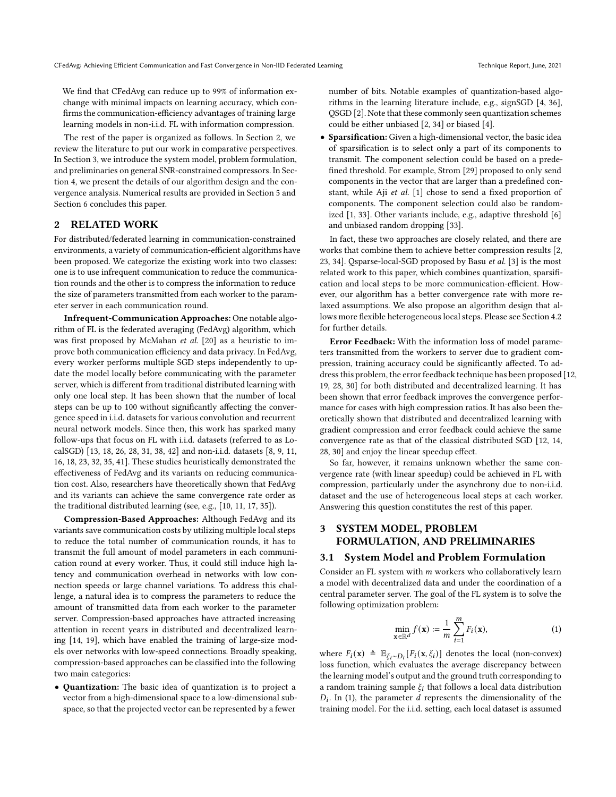We find that CFedAvg can reduce up to 99% of information exchange with minimal impacts on learning accuracy, which confirms the communication-efficiency advantages of training large learning models in non-i.i.d. FL with information compression.

The rest of the paper is organized as follows. In Section [2,](#page-2-0) we review the literature to put our work in comparative perspectives. In Section [3,](#page-2-1) we introduce the system model, problem formulation, and preliminaries on general SNR-constrained compressors. In Section [4,](#page-3-0) we present the details of our algorithm design and the convergence analysis. Numerical results are provided in Section [5](#page-6-0) and Section [6](#page-7-0) concludes this paper.

# <span id="page-2-0"></span>2 RELATED WORK

For distributed/federated learning in communication-constrained environments, a variety of communication-efficient algorithms have been proposed. We categorize the existing work into two classes: one is to use infrequent communication to reduce the communication rounds and the other is to compress the information to reduce the size of parameters transmitted from each worker to the parameter server in each communication round.

Infrequent-Communication Approaches: One notable algorithm of FL is the federated averaging (FedAvg) algorithm, which was first proposed by McMahan et al. [\[20](#page-8-5)] as a heuristic to improve both communication efficiency and data privacy. In FedAvg, every worker performs multiple SGD steps independently to update the model locally before communicating with the parameter server, which is different from traditional distributed learning with only one local step. It has been shown that the number of local steps can be up to 100 without significantly affecting the convergence speed in i.i.d. datasets for various convolution and recurrent neural network models. Since then, this work has sparked many follow-ups that focus on FL with i.i.d. datasets (referred to as LocalSGD) [\[13,](#page-8-17) [18,](#page-8-18) [26](#page-8-19), [28](#page-8-20), [31](#page-8-21), [38](#page-8-22), [42\]](#page-8-23) and non-i.i.d. datasets [\[8](#page-8-24), [9](#page-8-25), [11](#page-8-15), [16,](#page-8-13) [18](#page-8-18), [23,](#page-8-26) [32](#page-8-27), [35,](#page-8-16) [41\]](#page-8-28). These studies heuristically demonstrated the effectiveness of FedAvg and its variants on reducing communication cost. Also, researchers have theoretically shown that FedAvg and its variants can achieve the same convergence rate order as the traditional distributed learning (see, e.g., [\[10](#page-8-2), [11,](#page-8-15) [17](#page-8-29), [35\]](#page-8-16)).

Compression-Based Approaches: Although FedAvg and its variants save communication costs by utilizing multiple local steps to reduce the total number of communication rounds, it has to transmit the full amount of model parameters in each communication round at every worker. Thus, it could still induce high latency and communication overhead in networks with low connection speeds or large channel variations. To address this challenge, a natural idea is to compress the parameters to reduce the amount of transmitted data from each worker to the parameter server. Compression-based approaches have attracted increasing attention in recent years in distributed and decentralized learning [\[14](#page-8-12), [19\]](#page-8-9), which have enabled the training of large-size models over networks with low-speed connections. Broadly speaking, compression-based approaches can be classified into the following two main categories:

• Quantization: The basic idea of quantization is to project a vector from a high-dimensional space to a low-dimensional subspace, so that the projected vector can be represented by a fewer

number of bits. Notable examples of quantization-based algorithms in the learning literature include, e.g., signSGD [\[4,](#page-8-6) [36](#page-8-30)], QSGD [\[2\]](#page-8-31). Note that these commonly seen quantization schemes could be either unbiased [\[2,](#page-8-31) [34](#page-8-8)] or biased [\[4\]](#page-8-6).

• Sparsification: Given a high-dimensional vector, the basic idea of sparsification is to select only a part of its components to transmit. The component selection could be based on a predefined threshold. For example, Strom [\[29\]](#page-8-32) proposed to only send components in the vector that are larger than a predefined constant, while Aji et al. [\[1\]](#page-8-7) chose to send a fixed proportion of components. The component selection could also be randomized [\[1,](#page-8-7) [33\]](#page-8-33). Other variants include, e.g., adaptive threshold [\[6\]](#page-8-34) and unbiased random dropping [\[33\]](#page-8-33).

In fact, these two approaches are closely related, and there are works that combine them to achieve better compression results [\[2](#page-8-31), [23](#page-8-26), [34\]](#page-8-8). Qsparse-local-SGD proposed by Basu et al. [\[3\]](#page-8-35) is the most related work to this paper, which combines quantization, sparsification and local steps to be more communication-efficient. However, our algorithm has a better convergence rate with more relaxed assumptions. We also propose an algorithm design that allows more flexible heterogeneous local steps. Please see Section [4.2](#page-3-1) for further details.

Error Feedback: With the information loss of model parameters transmitted from the workers to server due to gradient compression, training accuracy could be significantly affected. To address this problem, the error feedback technique has been proposed [\[12,](#page-8-36) [19](#page-8-9), [28](#page-8-20), [30\]](#page-8-37) for both distributed and decentralized learning. It has been shown that error feedback improves the convergence performance for cases with high compression ratios. It has also been theoretically shown that distributed and decentralized learning with gradient compression and error feedback could achieve the same convergence rate as that of the classical distributed SGD [\[12,](#page-8-36) [14](#page-8-12), [28](#page-8-20), [30\]](#page-8-37) and enjoy the linear speedup effect.

So far, however, it remains unknown whether the same convergence rate (with linear speedup) could be achieved in FL with compression, particularly under the asynchrony due to non-i.i.d. dataset and the use of heterogeneous local steps at each worker. Answering this question constitutes the rest of this paper.

# <span id="page-2-1"></span>3 SYSTEM MODEL, PROBLEM FORMULATION, AND PRELIMINARIES

#### 3.1 System Model and Problem Formulation

Consider an FL system with  $m$  workers who collaboratively learn a model with decentralized data and under the coordination of a central parameter server. The goal of the FL system is to solve the following optimization problem:

<span id="page-2-2"></span>
$$
\min_{\mathbf{x} \in \mathbb{R}^d} f(\mathbf{x}) := \frac{1}{m} \sum_{i=1}^m F_i(\mathbf{x}),\tag{1}
$$

where  $F_i(\mathbf{x}) \triangleq \mathbb{E}_{\xi_i \sim D_i} [F_i(\mathbf{x}, \xi_i)]$  denotes the local (non-convex) loss function, which evaluates the average discrepancy between the learning model's output and the ground truth corresponding to a random training sample  $\xi_i$  that follows a local data distribution  $D_i$ . In [\(1\)](#page-2-2), the parameter  $d$  represents the dimensionality of the training model. For the i.i.d. setting, each local dataset is assumed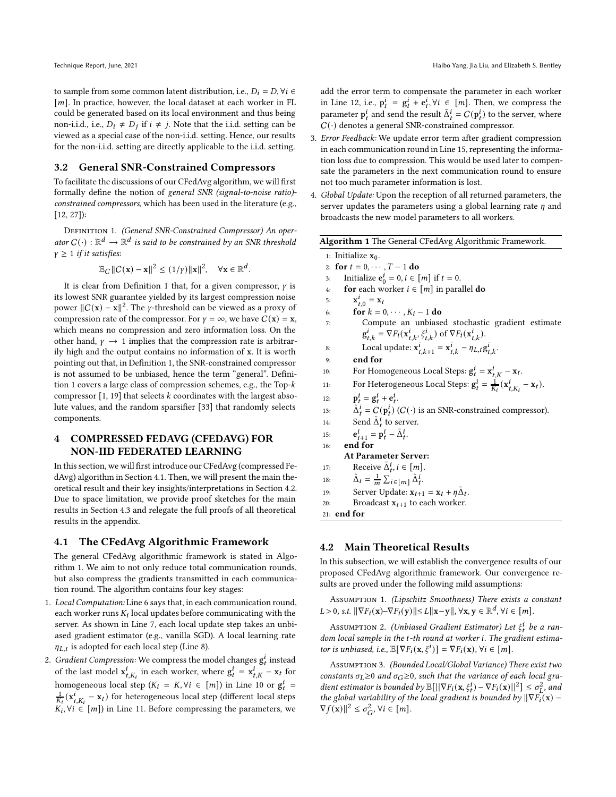to sample from some common latent distribution, i.e.,  $D_i = D$ ,  $\forall i \in$  $[m]$ . In practice, however, the local dataset at each worker in FL could be generated based on its local environment and thus being non-i.i.d., i.e.,  $D_i \neq D_j$  if  $i \neq j$ . Note that the i.i.d. setting can be viewed as a special case of the non-i.i.d. setting. Hence, our results for the non-i.i.d. setting are directly applicable to the i.i.d. setting.

#### 3.2 General SNR-Constrained Compressors

To facilitate the discussions of our CFedAvg algorithm, we will first formally define the notion of general SNR (signal-to-noise ratio) constrained compressors, which has been used in the literature (e.g., [\[12](#page-8-36), [27\]](#page-8-38)):

<span id="page-3-2"></span>DEFINITION 1. (General SNR-Constrained Compressor) An operator  $C(\cdot): \mathbb{R}^d \to \mathbb{R}^d$  is said to be constrained by an SNR threshold  $\gamma \geq 1$  if it satisfies:

$$
\mathbb{E}_C ||C(\mathbf{x}) - \mathbf{x}||^2 \le (1/\gamma) ||\mathbf{x}||^2, \quad \forall \mathbf{x} \in \mathbb{R}^d.
$$

It is clear from Definition [1](#page-3-2) that, for a given compressor,  $\gamma$  is its lowest SNR guarantee yielded by its largest compression noise power  $||C(x) - x||^2$ . The γ-threshold can be viewed as a proxy of compression rate of the compressor. For  $\gamma = \infty$ , we have  $C(\mathbf{x}) = \mathbf{x}$ , which means no compression and zero information loss. On the other hand,  $\gamma \rightarrow 1$  implies that the compression rate is arbitrarily high and the output contains no information of x. It is worth pointing out that, in Definition [1,](#page-3-2) the SNR-constrained compressor is not assumed to be unbiased, hence the term "general". Defini-tion [1](#page-3-2) covers a large class of compression schemes, e.g., the Top- $k$ compressor  $[1, 19]$  $[1, 19]$  that selects k coordinates with the largest absolute values, and the random sparsifier [\[33\]](#page-8-33) that randomly selects components.

# <span id="page-3-0"></span>4 COMPRESSED FEDAVG (CFEDAVG) FOR NON-IID FEDERATED LEARNING

In this section, we will first introduce our CFedAvg (compressed FedAvg) algorithm in Section [4.1.](#page-3-3) Then, we will present the main theoretical result and their key insights/interpretations in Section [4.2.](#page-3-1) Due to space limitation, we provide proof sketches for the main results in Section [4.3](#page-5-0) and relegate the full proofs of all theoretical results in the appendix.

# <span id="page-3-3"></span>4.1 The CFedAvg Algorithmic Framework

The general CFedAvg algorithmic framework is stated in Algorithm [1.](#page-3-4) We aim to not only reduce total communication rounds, but also compress the gradients transmitted in each communication round. The algorithm contains four key stages:

- 1. Local Computation: Line 6 says that, in each communication round, each worker runs  $K_i$  local updates before communicating with the server. As shown in Line 7, each local update step takes an unbiased gradient estimator (e.g., vanilla SGD). A local learning rate  $\eta_{L,t}$  is adopted for each local step (Line 8).
- 2. Gradient Compression: We compress the model changes  $g_t^i$  instead of the last model  $\mathbf{x}_{t,K_i}^i$  in each worker, where  $\mathbf{g}_t^i = \mathbf{x}_{t,K}^i - \mathbf{x}_t$  for homogeneous local step  $(K_i = K, \forall i \in [m])$  in Line 10 or  $g_t^i$  =  $\frac{1}{K_i}(\mathbf{x}_{t,K_i}^i-\mathbf{x}_t)$  for heterogeneous local step (different local steps  $K_i, \forall i$  ∈  $[m]$ ) in Line 11. Before compressing the parameters, we

add the error term to compensate the parameter in each worker in Line 12, i.e.,  $\mathbf{p}_t^i = \mathbf{g}_t^i + \mathbf{e}_t^i, \forall i \in [m]$ . Then, we compress the parameter  $\mathbf{p}_t^i$  and send the result  $\tilde{\Delta}_t^i = C(\mathbf{p}_t^i)$  to the server, where  $C(\cdot)$  denotes a general SNR-constrained compressor.

- 3. Error Feedback: We update error term after gradient compression in each communication round in Line 15, representing the information loss due to compression. This would be used later to compensate the parameters in the next communication round to ensure not too much parameter information is lost.
- 4. Global Update: Upon the reception of all returned parameters, the server updates the parameters using a global learning rate  $\eta$  and broadcasts the new model parameters to all workers.

<span id="page-3-4"></span>

| <b>Algorithm 1</b> The General CFedAvg Algorithmic Framework.                                     |
|---------------------------------------------------------------------------------------------------|
| 1: Initialize $x_0$ .                                                                             |
| 2: for $t = 0, \dots, T - 1$ do                                                                   |
| Initialize $e_0^i = 0, i \in [m]$ if $t = 0$ .<br>3:                                              |
| <b>for</b> each worker $i \in [m]$ in parallel <b>do</b><br>4:                                    |
| $\mathbf{x}_{t}^{l}$ = $\mathbf{x}_{t}$<br>5:                                                     |
| for $k = 0, \dots, K_i - 1$ do<br>6:                                                              |
| Compute an unbiased stochastic gradient estimate<br>7:                                            |
| $g_{t_k}^i = \nabla F_i(\mathbf{x}_{t,k}^i, \xi_{t,k}^i)$ of $\nabla F_i(\mathbf{x}_{t,k}^i)$ .   |
| Local update: $\mathbf{x}_{t,k+1}^i = \mathbf{x}_{t,k}^i - \eta_{L,t} \mathbf{g}_{t,k}^i$ .<br>8: |
| end for<br>9:                                                                                     |
| For Homogeneous Local Steps: $g_t^i = x_{tK}^i - x_t$ .<br>10:                                    |
| For Heterogeneous Local Steps: $g_t^i = \frac{1}{K_i} (x_{t,K_i}^i - x_t)$ .<br>11:               |
| $p_t^l = g_t^l + e_t^l$ .<br>12:                                                                  |
| $\tilde{\Delta}^i_t = C(\mathbf{p}^i_t)$ ( <i>C</i> (·) is an SNR-constrained compressor).<br>13: |
| Send $\tilde{\Delta}^i_t$ to server.<br>14:                                                       |
| $e_{t+1}^i = p_t^i - \tilde{\Delta}_t^i$ .<br>15:                                                 |
| end for<br>16:                                                                                    |
| <b>At Parameter Server:</b>                                                                       |
| Receive $\tilde{\Delta}_t^i$ , $i \in [m]$ .<br>17:                                               |
| $\tilde{\Delta}_t = \frac{1}{m} \sum_{i \in [m]} \tilde{\Delta}_t^i.$<br>18:                      |
| Server Update: $\mathbf{x}_{t+1} = \mathbf{x}_t + \eta \Delta_t$ .<br>19:                         |
| Broadcast $x_{t+1}$ to each worker.<br>20:                                                        |
| $21:$ end for                                                                                     |
|                                                                                                   |

# <span id="page-3-1"></span>4.2 Main Theoretical Results

In this subsection, we will establish the convergence results of our proposed CFedAvg algorithmic framework. Our convergence results are proved under the following mild assumptions:

<span id="page-3-6"></span>Assumption 1. (Lipschitz Smoothness) There exists a constant  $L > 0$ , s.t.  $\|\nabla F_i(\mathbf{x}) - \nabla F_i(\mathbf{y})\| \le L \|\mathbf{x} - \mathbf{y}\|$ ,  $\forall \mathbf{x}, \mathbf{y} \in \mathbb{R}^d$ ,  $\forall i \in [m]$ .

Assumption 2. (Unbiased Gradient Estimator) Let  $\xi_t^i$  be a random local sample in the t-th round at worker i. The gradient estimator is unbiased, i.e.,  $\mathbb{E}[\nabla F_i(\mathbf{x}, \xi^i)] = \nabla F_i(\mathbf{x}), \forall i \in [m].$ 

<span id="page-3-5"></span>Assumption 3. (Bounded Local/Global Variance) There exist two constants  $\sigma_L \geq 0$  and  $\sigma_G \geq 0$ , such that the variance of each local gradient estimator is bounded by  $\mathbb{E}[||\nabla F_i(\mathbf{x}, \xi_t^i) - \nabla F_i(\mathbf{x})||^2] \leq \sigma_L^2$ , and the global variability of the local gradient is bounded by  $\|\nabla F_i(\mathbf{x}) \nabla f(\mathbf{x})\|^2 \leq \sigma_G^2, \forall i \in [m].$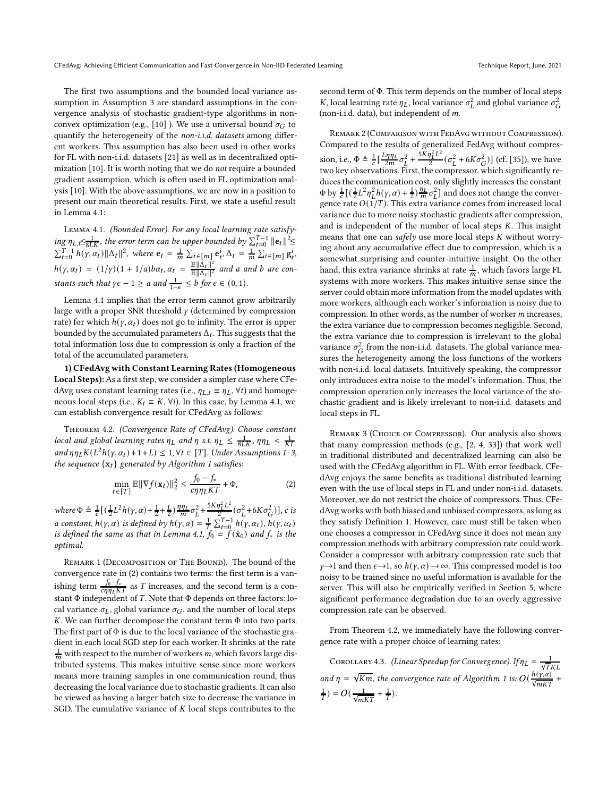The first two assumptions and the bounded local variance assumption in Assumption [3](#page-3-5) are standard assumptions in the convergence analysis of stochastic gradient-type algorithms in non-convex optimization (e.g., [\[10](#page-8-2)]). We use a universal bound  $\sigma$ <sup> $\epsilon$ </sup> to quantify the heterogeneity of the *non-i.i.d. datasets* among different workers. This assumption has also been used in other works for FL with non-i.i.d. datasets [\[21\]](#page-8-39) as well as in decentralized optimization [\[10\]](#page-8-2). It is worth noting that we do not require a bounded gradient assumption, which is often used in FL optimization analysis [\[10](#page-8-2)]. With the above assumptions, we are now in a position to present our main theoretical results. First, we state a useful result in Lemma [4.1:](#page-4-0)

<span id="page-4-0"></span>Lemma 4.1. (Bounded Error). For any local learning rate satisfy- $\max_{t\in S} \eta_{L,t} \leq \frac{1}{8LK}$ , the error term can be upper bounded by  $\sum_{t=0}^{T-1} ||e_t||^2 \leq$  $\sum_{t=0}^{T-1} h(\gamma, \alpha_t) \|\Delta_t\|^2$ , where  $\mathbf{e}_t = \frac{1}{m} \sum_{i \in [m]} \mathbf{e}_t^i$ ,  $\Delta_t = \frac{1}{m} \sum_{i \in [m]} g_t^i$ ,  $h(\gamma, \alpha_t) = (1/\gamma)(1 + 1/a)b\alpha_t, \alpha_t = \frac{\mathbb{E} \|\tilde{\Delta}_t\|^2}{\mathbb{E} \|\Delta_t\|^2}$  and a and b are constants such that  $\gamma \epsilon - 1 \ge a$  and  $\frac{1}{1-\epsilon} \le b$  for  $\epsilon \in (0,1)$ .

Lemma [4.1](#page-4-0) implies that the error term cannot grow arbitrarily large with a proper SNR threshold  $\gamma$  (determined by compression rate) for which  $h(\gamma, \alpha_t)$  does not go to infinity. The error is upper bounded by the accumulated parameters  $\Delta_t$ . This suggests that the total information loss due to compression is only a fraction of the total of the accumulated parameters.

1) CFedAvg with Constant Learning Rates (Homogeneous Local Steps): As a first step, we consider a simpler case where CFedAvg uses constant learning rates (i.e.,  $\eta_{L,t} \equiv \eta_L$ ,  $\forall t$ ) and homogeneous local steps (i.e.,  $K_i \equiv K$ ,  $\forall i$ ). In this case, by Lemma [4.1,](#page-4-0) we can establish convergence result for CFedAvg as follows:

<span id="page-4-2"></span>Theorem 4.2. (Convergence Rate of CFedAvg). Choose constant local and global learning rates  $\eta_L$  and  $\eta$  s.t.  $\eta_L \leq \frac{1}{8LK}$ ,  $\eta \eta_L < \frac{1}{KL}$ and  $\eta \eta_L K(L^2 h(\gamma, \alpha_t) + 1 + L) \leq 1, \forall t \in [T]$  $\eta \eta_L K(L^2 h(\gamma, \alpha_t) + 1 + L) \leq 1, \forall t \in [T]$  $\eta \eta_L K(L^2 h(\gamma, \alpha_t) + 1 + L) \leq 1, \forall t \in [T]$ . Under Assumptions 1[–3,](#page-3-5) the sequence  $\{x_t\}$  generated by Algorithm [1](#page-3-4) satisfies:

$$
\min_{t \in [T]} \mathbb{E} \|\nabla f(\mathbf{x}_t)\|_2^2 \le \frac{f_0 - f_*}{c\eta \eta_L KT} + \Phi,\tag{2}
$$

where  $\Phi \triangleq \frac{1}{c} \left[ \left( \frac{1}{2} L^2 h(\gamma, \alpha) + \frac{1}{2} + \frac{L}{2} \right) \frac{\eta \eta_L}{m} \sigma_L^2 + \right]$  $5K\eta_L^2L^2$  $\frac{\partial_L^{2} L^2}{\partial_Z^{2}} (\sigma_L^2 + 6K\sigma_G^2)$ ], c is a constant,  $h(\gamma, \alpha)$  is defined by  $h(\gamma, \alpha) = \frac{1}{T} \sum_{t=0}^{T-1} h(\gamma, \alpha_t)$ ,  $h(\gamma, \alpha_t)$ is defined the same as that in Lemma [4.1,](#page-4-0)  $\hat{f}_0 = \check{f}(\hat{x}_0)$  and  $f_*$  is the optimal.

REMARK 1 (DECOMPOSITION OF THE BOUND). The bound of the convergence rate in [\(2\)](#page-4-1) contains two terms: the first term is a vanishing term  $\frac{f_0 - f_*}{c \eta \eta_L KT}$  as  $T$  increases, and the second term is a constant  $\Phi$  independent of T. Note that  $\Phi$  depends on three factors: local variance  $\sigma$ <sub>L</sub>, global variance  $\sigma$ <sub>G</sub>, and the number of local steps  $K$ . We can further decompose the constant term  $\Phi$  into two parts. The first part of Φ is due to the local variance of the stochastic gradient in each local SGD step for each worker. It shrinks at the rate  $\frac{1}{m}$  with respect to the number of workers *m*, which favors large distributed systems. This makes intuitive sense since more workers means more training samples in one communication round, thus decreasing the local variance due to stochastic gradients. It can also be viewed as having a larger batch size to decrease the variance in SGD. The cumulative variance of  $K$  local steps contributes to the

second term of Φ. This term depends on the number of local steps K, local learning rate  $\eta_L$ , local variance  $\sigma_L^2$  and global variance  $\sigma_G^2$ (non-i.i.d. data), but independent of  $m$ .

Remark 2 (Comparison with FedAvg without Compression). Compared to the results of generalized FedAvg without compression, i.e.,  $\Phi \triangleq \frac{1}{c} \left[ \frac{L \eta \eta_L}{2m} \sigma_L^2 + \right]$  $5K\eta_L^2L^2$  $\frac{\partial_L^2 L^2}{2} (\sigma_L^2 + 6K\sigma_G^2)$ ] (cf. [\[35](#page-8-16)]), we have two key observations. First, the compressor, which significantly reduces the communication cost, only slightly increases the constant  $\Phi$  by  $\frac{1}{c} \left[ \left( \frac{1}{2} L^2 \eta_L^2 h(\gamma, \alpha) + \frac{1}{2} \right) \frac{\eta_L}{m} \sigma_L^2 \right]$  and does not change the convergence rate  $O(1/T)$ . This extra variance comes from increased local variance due to more noisy stochastic gradients after compression, and is independent of the number of local steps  $K$ . This insight means that one can safely use more local steps  $K$  without worrying about any accumulative effect due to compression, which is a somewhat surprising and counter-intuitive insight. On the other hand, this extra variance shrinks at rate  $\frac{1}{m}$ , which favors large FL systems with more workers. This makes intuitive sense since the server could obtain more information from the model updates with more workers, although each worker's information is noisy due to compression. In other words, as the number of worker  $m$  increases, the extra variance due to compression becomes negligible. Second, the extra variance due to compression is irrelevant to the global variance  $\sigma_G^2$  from the non-i.i.d. datasets. The global variance measures the heterogeneity among the loss functions of the workers with non-i.i.d. local datasets. Intuitively speaking, the compressor only introduces extra noise to the model's information. Thus, the compression operation only increases the local variance of the stochastic gradient and is likely irrelevant to non-i.i.d. datasets and local steps in FL.

<span id="page-4-1"></span>REMARK 3 (CHOICE OF COMPRESSOR). Our analysis also shows that many compression methods (e.g., [\[2,](#page-8-31) [4](#page-8-6), [33\]](#page-8-33)) that work well in traditional distributed and decentralized learning can also be used with the CFedAvg algorithm in FL. With error feedback, CFedAvg enjoys the same benefits as traditional distributed learning even with the use of local steps in FL and under non-i.i.d. datasets. Moreover, we do not restrict the choice of compressors. Thus, CFedAvg works with both biased and unbiased compressors, as long as they satisfy Definition [1.](#page-3-2) However, care must still be taken when one chooses a compressor in CFedAvg since it does not mean any compression methods with arbitrary compression rate could work. Consider a compressor with arbitrary compression rate such that  $\gamma \rightarrow 1$  and then  $\epsilon \rightarrow 1$ , so  $h(\gamma, \alpha) \rightarrow \infty$ . This compressed model is too noisy to be trained since no useful information is available for the server. This will also be empirically verified in Section [5,](#page-6-0) where significant performance degradation due to an overly aggressive compression rate can be observed.

From Theorem [4.2,](#page-4-2) we immediately have the following convergence rate with a proper choice of learning rates:

<span id="page-4-3"></span>COROLLARY 4.3. (Linear Speedup for Convergence). If  $\eta_L = \frac{1}{\sqrt{T}KL}$ and  $\eta = \sqrt{Km}$ , the convergence rate of Algorithm [1](#page-3-4) is:  $O(\frac{h(\gamma,\alpha)}{\sqrt{mKT}} + \frac{h(\gamma,\alpha)}{mK})$  $\frac{1}{T}$ ) =  $O(\frac{1}{\sqrt{mKT}} + \frac{1}{T})$ .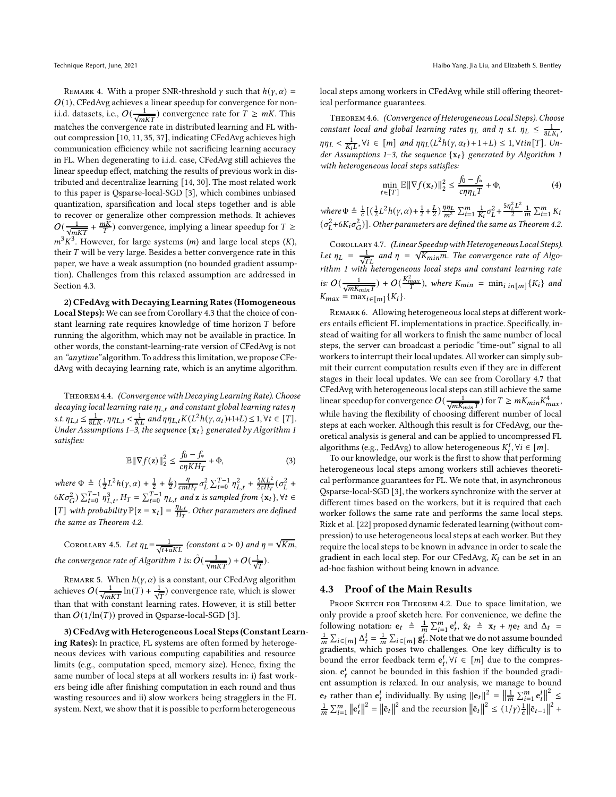REMARK 4. With a proper SNR-threshold  $\gamma$  such that  $h(\gamma, \alpha) =$  $O(1)$ , CFedAvg achieves a linear speedup for convergence for noni.i.d. datasets, i.e.,  $O(\frac{1}{\sqrt{mKT}})$  convergence rate for  $\overline{T} \ge mK$ . This matches the convergence rate in distributed learning and FL without compression [\[10](#page-8-2), [11,](#page-8-15) [35,](#page-8-16) [37\]](#page-8-40), indicating CFedAvg achieves high communication efficiency while not sacrificing learning accuracy in FL. When degenerating to i.i.d. case, CFedAvg still achieves the linear speedup effect, matching the results of previous work in distributed and decentralize learning [\[14,](#page-8-12) [30](#page-8-37)]. The most related work to this paper is Qsparse-local-SGD [\[3](#page-8-35)], which combines unbiased quantization, sparsification and local steps together and is able to recover or generalize other compression methods. It achieves  $O(\frac{1}{\sqrt{mKT}}+\frac{mK}{T})$  convergence, implying a linear speedup for  $T \geq$  $m^3 K^3$ . However, for large systems (*m*) and large local steps (*K*), their  $T$  will be very large. Besides a better convergence rate in this paper, we have a weak assumption (no bounded gradient assumption). Challenges from this relaxed assumption are addressed in Section [4.3.](#page-5-0)

2) CFedAvg with Decaying Learning Rates (Homogeneous Local Steps): We can see from Corollary [4.3](#page-4-3) that the choice of constant learning rate requires knowledge of time horizon  $T$  before running the algorithm, which may not be available in practice. In other words, the constant-learning-rate version of CFedAvg is not an "anytime" algorithm. To address this limitation, we propose CFedAvg with decaying learning rate, which is an anytime algorithm.

<span id="page-5-2"></span>Theorem 4.4. (Convergence with Decaying Learning Rate). Choose decaying local learning rate  $\eta_{L,t}$  and constant global learning rates  $\eta$ s.t.  $\eta_{L,t} \leq \frac{1}{8LK}$ ,  $\eta \eta_{L,t} < \frac{1}{KL}$  and  $\eta \eta_{L,t} K(L^2 h(\gamma, \alpha_t) + 1 + L) \leq 1, \forall t \in [T]$ . Under Assumptions [1](#page-3-4)-3, the sequence  $\{x_t\}$  generated by Algorithm 1 satisfies:

$$
\mathbb{E}\|\nabla f(\mathbf{z})\|_2^2 \le \frac{f_0 - f_*}{c\eta K H_T} + \Phi,\tag{3}
$$

where  $\Phi \triangleq (\frac{1}{2}L^2h(\gamma,\alpha)+\frac{1}{2}+\frac{L}{2})\frac{\eta}{cm}$  $\frac{\eta}{cmH_T}\sigma_L^2 \sum_{t=0}^{T-1} \eta_{L,t}^2 + \frac{5KL^2}{2cH_T}(\sigma_L^2 +$  $6K\sigma_G^2$ )  $\sum_{t=0}^{T-1}\eta_{L,t}^3$ ,  $H_T = \sum_{t=0}^{T-1}\eta_{L,t}$  and  $\mathbf{z}$  is sampled from  $\{\mathbf{x}_t\}$ ,  $\forall t \in$ [T] with probability  $\mathbb{P}[\mathbf{z} = \mathbf{x}_t] = \frac{\eta_{L,t}}{H_T}$  $\frac{q_{L,t}}{H_T}$ . Other parameters are defined the same as Theorem [4.2.](#page-4-2)

<span id="page-5-4"></span>COROLLARY 4.5. Let  $\eta_L = \frac{1}{\sqrt{t+aKL}}$  (constant  $a > 0$ ) and  $\eta = \sqrt{Km}$ , the convergence rate of Algorithm [1](#page-3-4) is:  $\tilde{O}(\frac{1}{\sqrt{mKT}}) + O(\frac{1}{\sqrt{T}})$ .

REMARK 5. When  $h(\gamma, \alpha)$  is a constant, our CFedAvg algorithm achieves  $O(\frac{1}{\sqrt{mKT}}\ln(T)+\frac{1}{\sqrt{T}})$  convergence rate, which is slower than that with constant learning rates. However, it is still better than  $O(1/\ln(T))$  proved in Qsparse-local-SGD [\[3\]](#page-8-35).

3) CFedAvg with Heterogeneous Local Steps (Constant Learning Rates): In practice, FL systems are often formed by heterogeneous devices with various computing capabilities and resource limits (e.g., computation speed, memory size). Hence, fixing the same number of local steps at all workers results in: i) fast workers being idle after finishing computation in each round and thus wasting resources and ii) slow workers being stragglers in the FL system. Next, we show that it is possible to perform heterogeneous

local steps among workers in CFedAvg while still offering theoretical performance guarantees.

<span id="page-5-3"></span>Theorem 4.6. (Convergence of Heterogeneous Local Steps). Choose constant local and global learning rates  $\eta_L$  and  $\eta$  s.t.  $\eta_L \leq \frac{1}{8LK_i}$ ,  $\eta \eta_L < \frac{1}{K_i L}$ ,  $\forall i \in [m]$  and  $\eta \eta_L (L^2 h(\gamma, \alpha_t) + 1 + L) \leq 1$ ,  $\forall \text{tin}[T]$ . Un-der Assumptions [1](#page-3-4)-3, the sequence  $\{x_t\}$  generated by Algorithm 1 with heterogeneous local steps satisfies:

$$
\min_{t \in [T]} \mathbb{E} \|\nabla f(\mathbf{x}_t)\|_2^2 \le \frac{f_0 - f_*}{c\eta \eta_L T} + \Phi,\tag{4}
$$

where  $\Phi \triangleq \frac{1}{c} \left[ \left( \frac{1}{2} L^2 h(\gamma, \alpha) + \frac{1}{2} + \frac{L}{2} \right) \frac{\eta \eta_L}{m^2} \sum_{i=1}^m \frac{1}{K_i} \sigma_L^2 + \frac{5 \eta_L^2 L^2}{2} \right]$  $\frac{L^L}{2}$   $\frac{1}{m}$   $\sum_{i=1}^m K_i$  $(\sigma_{L}^{2}$ +6 $K_{i}\sigma_{G}^{2})$ ]. Other parameters are defined the same as Theorem [4.2.](#page-4-2)

<span id="page-5-1"></span>COROLLARY 4.7. (Linear Speedup with Heterogeneous Local Steps). Let  $\eta_L = \frac{1}{\sqrt{T_L}}$  and  $\eta = \sqrt{\frac{K_{min}}{M}}$ . The convergence rate of Algo- $\frac{1}{\sqrt{TL}}$   $\frac{1}{\sqrt{TL}}$  and  $\frac{1}{\sqrt{TL}}$  is  $\frac{1}{\sqrt{TL}}$  in  $\frac{1}{\sqrt{TL}}$  in  $\frac{1}{\sqrt{TL}}$  in  $\frac{1}{\sqrt{TL}}$  in  $\frac{1}{\sqrt{TL}}$  in  $\frac{1}{\sqrt{TL}}$  in  $\frac{1}{\sqrt{TL}}$  in  $\frac{1}{\sqrt{TL}}$  in  $\frac{1}{\sqrt{TL}}$  in  $\frac{1}{\sqrt{TL}}$  in  $\frac{1}{\sqrt{TL}}$  in is:  $O(\frac{1}{\sqrt{mK_{min}T}}) + O(\frac{K_{max}^2}{T})$ , where  $K_{min} = \min_{i \in [m]} \{K_i\}$  and  $K_{max} = \max_{i \in [m]} \{K_i\}.$ 

Remark 6. Allowing heterogeneous local steps at different workers entails efficient FL implementations in practice. Specifically, instead of waiting for all workers to finish the same number of local steps, the server can broadcast a periodic "time-out" signal to all workers to interrupt their local updates. All worker can simply submit their current computation results even if they are in different stages in their local updates. We can see from Corollary [4.7](#page-5-1) that CFedAvg with heterogeneous local steps can still achieve the same linear speedup for convergence  $O(\frac{1}{\sqrt{mK_{min}T}})$  for  $T \geq mK_{min}K_{max}^4$ , while having the flexibility of choosing different number of local steps at each worker. Although this result is for CFedAvg, our theoretical analysis is general and can be applied to uncompressed FL algorithms (e.g., FedAvg) to allow heterogeneous  $K_i^t$ ,  $\forall i \in [m]$ .

To our knowledge, our work is the first to show that performing heterogeneous local steps among workers still achieves theoretical performance guarantees for FL. We note that, in asynchronous Qsparse-local-SGD [\[3\]](#page-8-35), the workers synchronize with the server at different times based on the workers, but it is required that each worker follows the same rate and performs the same local steps. Rizk et al. [\[22](#page-8-41)] proposed dynamic federated learning (without compression) to use heterogeneous local steps at each worker. But they require the local steps to be known in advance in order to scale the gradient in each local step. For our CFedAvg,  $K_i$  can be set in an ad-hoc fashion without being known in advance.

#### <span id="page-5-0"></span>4.3 Proof of the Main Results

PROOF SKETCH FOR THEOREM [4.2.](#page-4-2) Due to space limitation, we only provide a proof sketch here. For convenience, we define the following notation:  $e_t \triangleq \frac{1}{m} \sum_{i=1}^m e_t^i$ ,  $\hat{x}_t \triangleq x_t + \eta e_t$  and  $\Delta_t =$  $\frac{1}{m} \sum_{i \in [m]} \Delta_i^i = \frac{1}{m} \sum_{i \in [m]} g_t^i$ . Note that we do not assume bounded gradients, which poses two challenges. One key difficulty is to bound the error feedback term  $e_t^i$ ,  $\forall i \in [m]$  due to the compression.  $e_t^i$  cannot be bounded in this fashion if the bounded gradient assumption is relaxed. In our analysis, we manage to bound  $\mathbf{e}_t$  rather than  $\mathbf{e}_t^i$  individually. By using  $\|\mathbf{e}_t\|^2 = \left\|\frac{1}{m} \sum_{i=1}^m \mathbf{e}_t^i\right\|^2 \leq$  $\frac{1}{m}\sum_{i=1}^{m} \left\| \mathbf{e}_t \right\|^2 = \left\| \bar{\mathbf{e}}_t \right\|^2$  and the recursion  $\left\| \bar{\mathbf{e}}_t \right\|^2 \leq (1/\gamma) \frac{1}{\epsilon} \left\| \bar{\mathbf{e}}_{t-1} \right\|^2 +$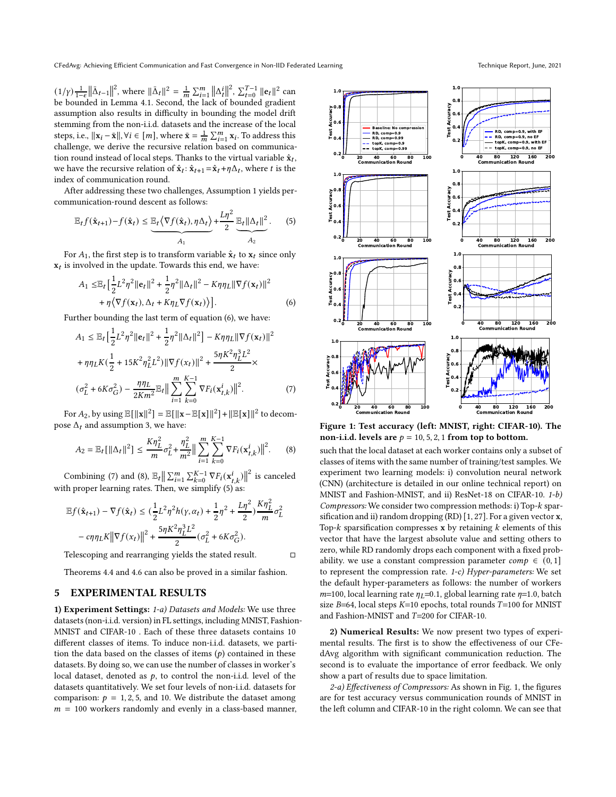$(1/\gamma) \frac{1}{1-\epsilon} ||\bar{\Delta}_{t-1}||^2$ , where  $||\bar{\Delta}_{t}||^2 = \frac{1}{m} \sum_{i=1}^{m} ||\Delta_{t}^{i}||^2$ ,  $\sum_{t=0}^{T-1} ||\mathbf{e}_{t}||^2$  can be bounded in Lemma [4.1.](#page-4-0) Second, the lack of bounded gradient assumption also results in difficulty in bounding the model drift stemming from the non-i.i.d. datasets and the increase of the local steps, i.e.,  $||\mathbf{x}_i - \bar{\mathbf{x}}||$ ,  $\forall i \in [m]$ , where  $\bar{\mathbf{x}} = \frac{1}{m} \sum_{i=1}^{m} \mathbf{x}_i$ . To address this challenge, we derive the recursive relation based on communication round instead of local steps. Thanks to the virtual variable  $\hat{\mathbf{x}}_t,$ we have the recursive relation of  $\hat{\mathbf{x}}_t$ :  $\hat{\mathbf{x}}_{t+1} = \hat{\mathbf{x}}_t + \eta \Delta_t$ , where t is the index of communication round.

After addressing these two challenges, Assumption [1](#page-3-6) yields percommunication-round descent as follows:

$$
\mathbb{E}_t f(\hat{\mathbf{x}}_{t+1}) - f(\hat{\mathbf{x}}_t) \leq \underbrace{\mathbb{E}_t \left\langle \nabla f(\hat{\mathbf{x}}_t), \eta \Delta_t \right\rangle}_{A_1} + \frac{L\eta^2}{2} \underbrace{\mathbb{E}_t ||\Delta_t||^2}_{A_2}.
$$
 (5)

For  $A_1$ , the first step is to transform variable  $\hat{\mathbf{x}}_t$  to  $\mathbf{x}_t$  since only  $\mathbf{x}_t$  is involved in the update. Towards this end, we have:

$$
A_1 \leq \mathbb{E}_t \Big[ \frac{1}{2} L^2 \eta^2 \|\mathbf{e}_t\|^2 + \frac{1}{2} \eta^2 \|\Delta_t\|^2 - K \eta \eta_L \|\nabla f(\mathbf{x}_t)\|^2
$$
  
+  $\eta \big\langle \nabla f(\mathbf{x}_t), \Delta_t + K \eta_L \nabla f(\mathbf{x}_t) \big\rangle \Big].$  (6)

Further bounding the last term of equation [\(6\)](#page-6-1), we have:

$$
A_1 \leq \mathbb{E}_t \Big[ \frac{1}{2} L^2 \eta^2 ||\mathbf{e}_t||^2 + \frac{1}{2} \eta^2 ||\Delta_t||^2 \Big] - K \eta \eta_L ||\nabla f(\mathbf{x}_t)||^2
$$
  
+  $\eta \eta_L K \big( \frac{1}{2} + 15K^2 \eta_L^2 L^2 \big) ||\nabla f(\mathbf{x}_t)||^2 + \frac{5 \eta K^2 \eta_L^3 L^2}{2} \times$   
 $(\sigma_L^2 + 6K\sigma_G^2) - \frac{\eta \eta_L}{2Km^2} \mathbb{E}_t \Big\| \sum_{i=1}^m \sum_{k=0}^{K-1} \nabla F_i(\mathbf{x}_{t,k}^i) \Big\|^2.$  (7)

For  $A_2$ , by using  $\mathbb{E}[\|\mathbf{x}\|^2] = \mathbb{E}[\|\mathbf{x}-\mathbb{E}[\mathbf{x}]\|^2] + \|\mathbb{E}[\mathbf{x}]\|^2$  to decompose  $\Delta_t$  and assumption [3,](#page-3-5) we have:

<span id="page-6-3"></span>
$$
A_2 = \mathbb{E}_t[\|\Delta_t\|^2] \le \frac{K\eta_L^2}{m}\sigma_L^2 + \frac{\eta_L^2}{m^2}\|\sum_{i=1}^m\sum_{k=0}^{K-1} \nabla F_i(\mathbf{x}_{t,k}^i)\|^2. \tag{8}
$$

Combining [\(7\)](#page-6-2) and [\(8\)](#page-6-3),  $\mathbb{E}_t \big\| \sum_{i=1}^m \sum_{k=0}^{K-1} \nabla F_i(\mathbf{x}_{t,k}^i) \big\|^2$  is canceled with proper learning rates. Then, we simplify  $(5)$  as:

$$
\begin{aligned} \mathbb{E}f(\hat{\mathbf{x}}_{t+1}) - \nabla f(\hat{\mathbf{x}}_t) &\leq (\frac{1}{2}L^2\eta^2 h(\gamma,\alpha_t) + \frac{1}{2}\eta^2 + \frac{L\eta^2}{2})\frac{K\eta_L^2}{m}\sigma_L^2 \\ &- c\eta\eta_L K \|\nabla f(x_t)\|^2 + \frac{5\eta K^2\eta_L^3 L^2}{2} (\sigma_L^2 + 6K\sigma_G^2). \end{aligned}
$$

Telescoping and rearranging yields the stated result.

Theorems [4.4](#page-5-2) and [4.6](#page-5-3) can also be proved in a similar fashion.

# <span id="page-6-0"></span>5 EXPERIMENTAL RESULTS

1) Experiment Settings: 1-a) Datasets and Models: We use three datasets (non-i.i.d. version) in FL settings, including MNIST, Fashion-MNIST and CIFAR-10 . Each of these three datasets contains 10 different classes of items. To induce non-i.i.d. datasets, we partition the data based on the classes of items  $(p)$  contained in these datasets. By doing so, we can use the number of classes in worker's local dataset, denoted as  $p$ , to control the non-i.i.d. level of the datasets quantitatively. We set four levels of non-i.i.d. datasets for comparison:  $p = 1, 2, 5$ , and 10. We distribute the dataset among  $m = 100$  workers randomly and evenly in a class-based manner,

<span id="page-6-5"></span><span id="page-6-4"></span>

<span id="page-6-2"></span><span id="page-6-1"></span>Figure 1: Test accuracy (left: MNIST, right: CIFAR-10). The non-i.i.d. levels are  $p = 10, 5, 2, 1$  from top to bottom.

such that the local dataset at each worker contains only a subset of classes of items with the same number of training/test samples. We experiment two learning models: i) convolution neural network (CNN) (architecture is detailed in our online technical report) on MNIST and Fashion-MNIST, and ii) ResNet-18 on CIFAR-10. 1-b) Compressors: We consider two compression methods: i) Top-k sparsification and ii) random dropping (RD)  $[1, 27]$  $[1, 27]$ . For a given vector **x**, Top- $k$  sparsification compresses x by retaining  $k$  elements of this vector that have the largest absolute value and setting others to zero, while RD randomly drops each component with a fixed probability. we use a constant compression parameter  $comp \in (0, 1]$ to represent the compression rate. 1-c) Hyper-parameters: We set the default hyper-parameters as follows: the number of workers  $m=100$ , local learning rate  $\eta_L=0.1$ , global learning rate  $\eta=1.0$ , batch size  $B=64$ , local steps  $K=10$  epochs, total rounds  $T=100$  for MNIST and Fashion-MNIST and  $T=200$  for CIFAR-10.

2) Numerical Results: We now present two types of experimental results. The first is to show the effectiveness of our CFedAvg algorithm with significant communication reduction. The second is to evaluate the importance of error feedback. We only show a part of results due to space limitation.

2-a) Effectiveness of Compressors: As shown in Fig. [1,](#page-6-5) the figures are for test accuracy versus communication rounds of MNIST in the left column and CIFAR-10 in the right colomn. We can see that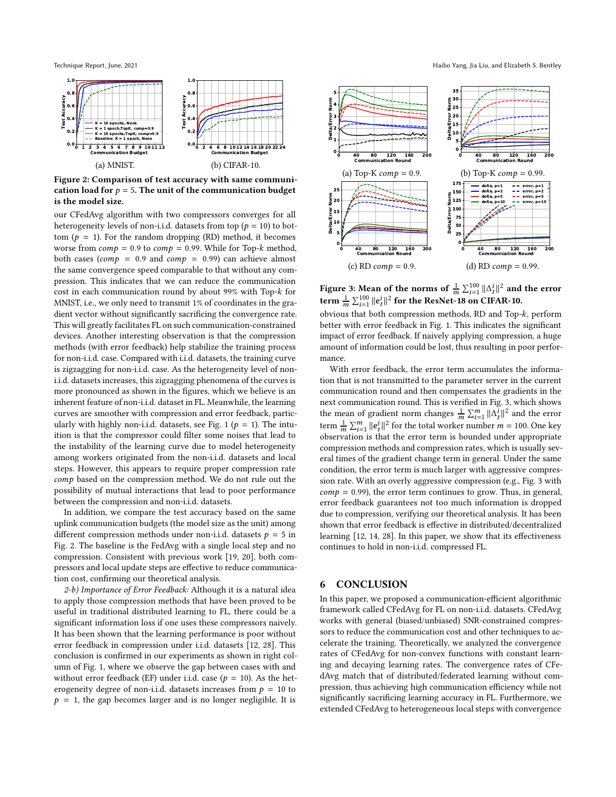<span id="page-7-1"></span>

Figure 2: Comparison of test accuracy with same communication load for  $p = 5$ . The unit of the communication budget is the model size.

our CFedAvg algorithm with two compressors converges for all heterogeneity levels of non-i.i.d. datasets from top ( $p = 10$ ) to bottom ( $p = 1$ ). For the random dropping (RD) method, it becomes worse from  $comp = 0.9$  to  $comp = 0.99$ . While for Top- $k$  method, both cases ( $comp = 0.9$  and  $comp = 0.99$ ) can achieve almost the same convergence speed comparable to that without any compression. This indicates that we can reduce the communication cost in each communication round by about 99% with Top- $k$  for MNIST, i.e., we only need to transmit 1% of coordinates in the gradient vector without significantly sacrificing the convergence rate. This will greatly facilitates FL on such communication-constrained devices. Another interesting observation is that the compression methods (with error feedback) help stabilize the training process for non-i.i.d. case. Compared with i.i.d. datasets, the training curve is zigzagging for non-i.i.d. case. As the heterogeneity level of noni.i.d. datasets increases, this zigzagging phenomena of the curves is more pronounced as shown in the figures, which we believe is an inherent feature of non-i.i.d. dataset in FL. Meanwhile, the learning curves are smoother with compression and error feedback, partic-ularly with highly non-i.i.d. datasets, see Fig. [1](#page-6-5) ( $p = 1$ ). The intuition is that the compressor could filter some noises that lead to the instability of the learning curve due to model heterogeneity among workers originated from the non-i.i.d. datasets and local steps. However, this appears to require proper compression rate comp based on the compression method. We do not rule out the possibility of mutual interactions that lead to poor performance between the compression and non-i.i.d. datasets.

In addition, we compare the test accuracy based on the same uplink communication budgets (the model size as the unit) among different compression methods under non-i.i.d. datasets  $p = 5$  in Fig. [2.](#page-7-1) The baseline is the FedAvg with a single local step and no compression. Consistent with previous work [\[19,](#page-8-9) [20\]](#page-8-5), both compressors and local update steps are effective to reduce communication cost, confirming our theoretical analysis.

2-b) Importance of Error Feedback: Although it is a natural idea to apply those compression methods that have been proved to be useful in traditional distributed learning to FL, there could be a significant information loss if one uses these compressors naively. It has been shown that the learning performance is poor without error feedback in compression under i.i.d. datasets [\[12,](#page-8-36) [28\]](#page-8-20). This conclusion is confirmed in our experiments as shown in right column of Fig. [1,](#page-6-5) where we observe the gap between cases with and without error feedback (EF) under i.i.d. case ( $p = 10$ ). As the heterogeneity degree of non-i.i.d. datasets increases from  $p = 10$  to  $p = 1$ , the gap becomes larger and is no longer negligible. It is

<span id="page-7-2"></span>

Figure 3: Mean of the norms of  $\frac{1}{m}\sum_{i=1}^{100} ||\Delta_t^i||^2$  and the error term  $\frac{1}{m}\sum_{i=1}^{100}\|\mathbf{e}_t^i\|^2$  for the ResNet-18 on CIFAR-10.

obvious that both compression methods, RD and Top-k, perform better with error feedback in Fig. [1.](#page-6-5) This indicates the significant impact of error feedback. If naively applying compression, a huge amount of information could be lost, thus resulting in poor performance.

With error feedback, the error term accumulates the information that is not transmitted to the parameter server in the current communication round and then compensates the gradients in the next communication round. This is verified in Fig. [3,](#page-7-2) which shows the mean of gradient norm changes  $\frac{1}{m} \sum_{i=1}^{m} ||\Delta_t^{\overline{i}}||^2$  and the error term  $\frac{1}{m} \sum_{i=1}^{m} ||\mathbf{e}_t^i||^2$  for the total worker number  $m = 100$ . One key observation is that the error term is bounded under appropriate compression methods and compression rates, which is usually several times of the gradient change term in general. Under the same condition, the error term is much larger with aggressive compression rate. With an overly aggressive compression (e.g., Fig. [3](#page-7-2) with  $comp = 0.99$ , the error term continues to grow. Thus, in general, error feedback guarantees not too much information is dropped due to compression, verifying our theoretical analysis. It has been shown that error feedback is effective in distributed/decentralized learning [\[12,](#page-8-36) [14,](#page-8-12) [28\]](#page-8-20). In this paper, we show that its effectiveness continues to hold in non-i.i.d. compressed FL.

#### <span id="page-7-0"></span>6 CONCLUSION

In this paper, we proposed a communication-efficient algorithmic framework called CFedAvg for FL on non-i.i.d. datasets. CFedAvg works with general (biased/unbiased) SNR-constrained compressors to reduce the communication cost and other techniques to accelerate the training. Theoretically, we analyzed the convergence rates of CFedAvg for non-convex functions with constant learning and decaying learning rates. The convergence rates of CFedAvg match that of distributed/federated learning without compression, thus achieving high communication efficiency while not significantly sacrificing learning accuracy in FL. Furthermore, we extended CFedAvg to heterogeneous local steps with convergence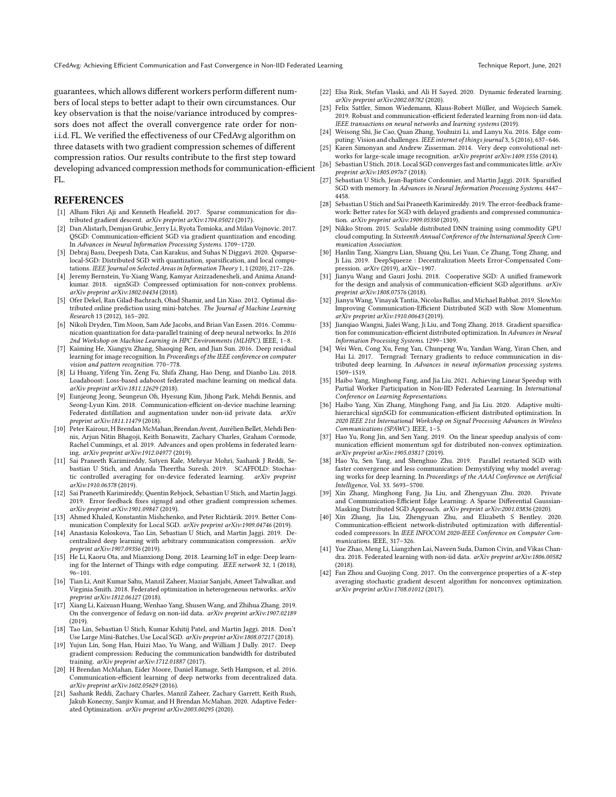guarantees, which allows different workers perform different numbers of local steps to better adapt to their own circumstances. Our key observation is that the noise/variance introduced by compressors does not affect the overall convergence rate order for noni.i.d. FL. We verified the effectiveness of our CFedAvg algorithm on three datasets with two gradient compression schemes of different compression ratios. Our results contribute to the first step toward developing advanced compression methods for communication-efficient FL.

# **REFERENCES**

- <span id="page-8-7"></span>[1] Alham Fikri Aji and Kenneth Heafield. 2017. Sparse communication for distributed gradient descent. arXiv preprint arXiv:1704.05021 (2017).
- <span id="page-8-31"></span>[2] Dan Alistarh, Demjan Grubic, Jerry Li, Ryota Tomioka, and Milan Vojnovic. 2017. QSGD: Communication-efficient SGD via gradient quantization and encoding. In Advances in Neural Information Processing Systems. 1709–1720.
- <span id="page-8-35"></span>[3] Debraj Basu, Deepesh Data, Can Karakus, and Suhas N Diggavi. 2020. Qsparselocal-SGD: Distributed SGD with quantization, sparsification, and local computations. IEEE Journal on Selected Areas in Information Theory 1, 1 (2020), 217–226.
- <span id="page-8-6"></span>[4] Jeremy Bernstein, Yu-Xiang Wang, Kamyar Azizzadenesheli, and Anima Anandkumar. 2018. signSGD: Compressed optimisation for non-convex problems. arXiv preprint arXiv:1802.04434 (2018).
- <span id="page-8-14"></span>[5] Ofer Dekel, Ran Gilad-Bachrach, Ohad Shamir, and Lin Xiao. 2012. Optimal distributed online prediction using mini-batches. The Journal of Machine Learning Research 13 (2012), 165–202.
- <span id="page-8-34"></span>[6] Nikoli Dryden, Tim Moon, Sam Ade Jacobs, and Brian Van Essen. 2016. Communication quantization for data-parallel training of deep neural networks. In 2016 2nd Workshop on Machine Learning in HPC Environments (MLHPC). IEEE, 1–8.
- <span id="page-8-3"></span>[7] Kaiming He, Xiangyu Zhang, Shaoqing Ren, and Jian Sun. 2016. Deep residual learning for image recognition. In Proceedings of the IEEE conference on computer vision and pattern recognition. 770–778.
- <span id="page-8-24"></span>[8] Li Huang, Yifeng Yin, Zeng Fu, Shifa Zhang, Hao Deng, and Dianbo Liu. 2018. Loadaboost: Loss-based adaboost federated machine learning on medical data. arXiv preprint arXiv:1811.12629 (2018).
- <span id="page-8-25"></span>[9] Eunjeong Jeong, Seungeun Oh, Hyesung Kim, Jihong Park, Mehdi Bennis, and Seong-Lyun Kim. 2018. Communication-efficient on-device machine learning: Federated distillation and augmentation under non-iid private data. arXiv
- <span id="page-8-2"></span>preprint arXiv:1811.11479 (2018). [10] Peter Kairouz, H Brendan McMahan, Brendan Avent, Aurélien Bellet, Mehdi Bennis, Arjun Nitin Bhagoji, Keith Bonawitz, Zachary Charles, Graham Cormode, Rachel Cummings, et al. 2019. Advances and open problems in federated learning. arXiv preprint arXiv:1912.04977 (2019).
- <span id="page-8-15"></span>[11] Sai Praneeth Karimireddy, Satyen Kale, Mehryar Mohri, Sashank J Reddi, Sebastian U Stich, and Ananda Theertha Suresh. 2019. SCAFFOLD: Stochastic controlled averaging for on-device federated learning. arXiv preprint arXiv:1910.06378 (2019).
- <span id="page-8-36"></span>[12] Sai Praneeth Karimireddy, Quentin Rebjock, Sebastian U Stich, and Martin Jaggi. 2019. Error feedback fixes signsgd and other gradient compression schemes. arXiv preprint arXiv:1901.09847 (2019).
- <span id="page-8-17"></span>[13] Ahmed Khaled, Konstantin Mishchenko, and Peter Richtárik. 2019. Better Communication Complexity for Local SGD. arXiv preprint arXiv:1909.04746 (2019).
- <span id="page-8-12"></span>[14] Anastasia Koloskova, Tao Lin, Sebastian U Stich, and Martin Jaggi. 2019. Decentralized deep learning with arbitrary communication compression. arXiv preprint arXiv:1907.09356 (2019).
- <span id="page-8-0"></span>[15] He Li, Kaoru Ota, and Mianxiong Dong. 2018. Learning IoT in edge: Deep learning for the Internet of Things with edge computing. IEEE network 32, 1 (2018),  $96 - 101$ .
- <span id="page-8-13"></span>[16] Tian Li, Anit Kumar Sahu, Manzil Zaheer, Maziar Sanjabi, Ameet Talwalkar, and Virginia Smith. 2018. Federated optimization in heterogeneous networks. arXiv preprint arXiv:1812.06127 (2018).
- <span id="page-8-29"></span>[17] Xiang Li, Kaixuan Huang, Wenhao Yang, Shusen Wang, and Zhihua Zhang. 2019. On the convergence of fedavg on non-iid data. arXiv preprint arXiv:1907.02189 (2019).
- <span id="page-8-18"></span>[18] Tao Lin, Sebastian U Stich, Kumar Kshitij Patel, and Martin Jaggi. 2018. Don't Use Large Mini-Batches, Use Local SGD. arXiv preprint arXiv:1808.07217 (2018).
- <span id="page-8-9"></span>[19] Yujun Lin, Song Han, Huizi Mao, Yu Wang, and William J Dally. 2017. Deep gradient compression: Reducing the communication bandwidth for distributed training. arXiv preprint arXiv:1712.01887 (2017).
- <span id="page-8-5"></span>[20] H Brendan McMahan, Eider Moore, Daniel Ramage, Seth Hampson, et al. 2016. Communication-efficient learning of deep networks from decentralized data. arXiv preprint arXiv:1602.05629 (2016).
- <span id="page-8-39"></span>[21] Sashank Reddi, Zachary Charles, Manzil Zaheer, Zachary Garrett, Keith Rush, Jakub Konecny, Sanjiv Kumar, and H Brendan McMahan. 2020. Adaptive Federated Optimization. arXiv preprint arXiv:2003.00295 (2020).
- <span id="page-8-41"></span>[22] Elsa Rizk, Stefan Vlaski, and Ali H Sayed. 2020. Dynamic federated learning. arXiv preprint arXiv:2002.08782 (2020).
- <span id="page-8-26"></span>[23] Felix Sattler, Simon Wiedemann, Klaus-Robert Müller, and Wojciech Samek. 2019. Robust and communication-efficient federated learning from non-iid data. IEEE transactions on neural networks and learning systems (2019).
- <span id="page-8-1"></span>[24] Weisong Shi, Jie Cao, Quan Zhang, Youhuizi Li, and Lanyu Xu. 2016. Edge computing: Vision and challenges. IEEE internet of things journal 3, 5 (2016), 637–646.
- <span id="page-8-4"></span>[25] Karen Simonyan and Andrew Zisserman. 2014. Very deep convolutional networks for large-scale image recognition. arXiv preprint arXiv:1409.1556 (2014).
- <span id="page-8-19"></span>[26] Sebastian U Stich. 2018. Local SGD converges fast and communicates little. arXiv preprint arXiv:1805.09767 (2018).
- <span id="page-8-38"></span>Sebastian U Stich, Jean-Baptiste Cordonnier, and Martin Jaggi. 2018. Sparsified SGD with memory. In Advances in Neural Information Processing Systems. 4447– 4458.
- <span id="page-8-20"></span>[28] Sebastian U Stich and Sai Praneeth Karimireddy. 2019. The error-feedback framework: Better rates for SGD with delayed gradients and compressed communication. arXiv preprint arXiv:1909.05350 (2019).
- <span id="page-8-32"></span>[29] Nikko Strom. 2015. Scalable distributed DNN training using commodity GPU cloud computing. In Sixteenth Annual Conference of the International Speech Communication Association.
- <span id="page-8-37"></span>[30] Hanlin Tang, Xiangru Lian, Shuang Qiu, Lei Yuan, Ce Zhang, Tong Zhang, and Ji Liu. 2019. DeepSqueeze : Decentralization Meets Error-Compensated Compression. arXiv (2019), arXiv–1907.
- <span id="page-8-21"></span>[31] Jianyu Wang and Gauri Joshi. 2018. Cooperative SGD: A unified framework for the design and analysis of communication-efficient SGD algorithms. arXiv preprint arXiv:1808.07576 (2018).
- <span id="page-8-27"></span>[32] Jianyu Wang, Vinayak Tantia, Nicolas Ballas, and Michael Rabbat. 2019. SlowMo: Improving Communication-Efficient Distributed SGD with Slow Momentum. arXiv preprint arXiv:1910.00643 (2019).
- <span id="page-8-33"></span>[33] Jianqiao Wangni, Jialei Wang, Ji Liu, and Tong Zhang. 2018. Gradient sparsification for communication-efficient distributed optimization. In Advances in Neural Information Processing Systems. 1299–1309.
- <span id="page-8-8"></span>[34] Wei Wen, Cong Xu, Feng Yan, Chunpeng Wu, Yandan Wang, Yiran Chen, and Hai Li. 2017. Terngrad: Ternary gradients to reduce communication in distributed deep learning. In Advances in neural information processing systems. 1509–1519.
- <span id="page-8-16"></span>[35] Haibo Yang, Minghong Fang, and Jia Liu. 2021. Achieving Linear Speedup with Partial Worker Participation in Non-IID Federated Learning. In International Conference on Learning Representations.
- <span id="page-8-30"></span>[36] Haibo Yang, Xin Zhang, Minghong Fang, and Jia Liu. 2020. Adaptive multihierarchical signSGD for communication-efficient distributed optimization. In 2020 IEEE 21st International Workshop on Signal Processing Advances in Wireless Communications (SPAWC). IEEE, 1–5.
- <span id="page-8-40"></span>[37] Hao Yu, Rong Jin, and Sen Yang. 2019. On the linear speedup analysis of communication efficient momentum sgd for distributed non-convex optimization. arXiv preprint arXiv:1905.03817 (2019).
- <span id="page-8-22"></span>[38] Hao Yu, Sen Yang, and Shenghuo Zhu. 2019. Parallel restarted SGD with faster convergence and less communication: Demystifying why model averaging works for deep learning. In Proceedings of the AAAI Conference on Artificial Intelligence, Vol. 33. 5693–5700.
- <span id="page-8-10"></span>[39] Xin Zhang, Minghong Fang, Jia Liu, and Zhengyuan Zhu. 2020. Private and Communication-Efficient Edge Learning: A Sparse Differential Gaussian-Masking Distributed SGD Approach. arXiv preprint arXiv:2001.03836 (2020).
- <span id="page-8-11"></span>[40] Xin Zhang, Jia Liu, Zhengyuan Zhu, and Elizabeth S Bentley. 2020. Communication-efficient network-distributed optimization with differentialcoded compressors. In IEEE INFOCOM 2020-IEEE Conference on Computer Communications. IEEE, 317–326.
- <span id="page-8-28"></span>[41] Yue Zhao, Meng Li, Liangzhen Lai, Naveen Suda, Damon Civin, and Vikas Chandra. 2018. Federated learning with non-iid data. arXiv preprint arXiv:1806.00582 (2018).
- <span id="page-8-23"></span>[42] Fan Zhou and Guojing Cong. 2017. On the convergence properties of a  $K$ -step averaging stochastic gradient descent algorithm for nonconvex optimization. arXiv preprint arXiv:1708.01012 (2017).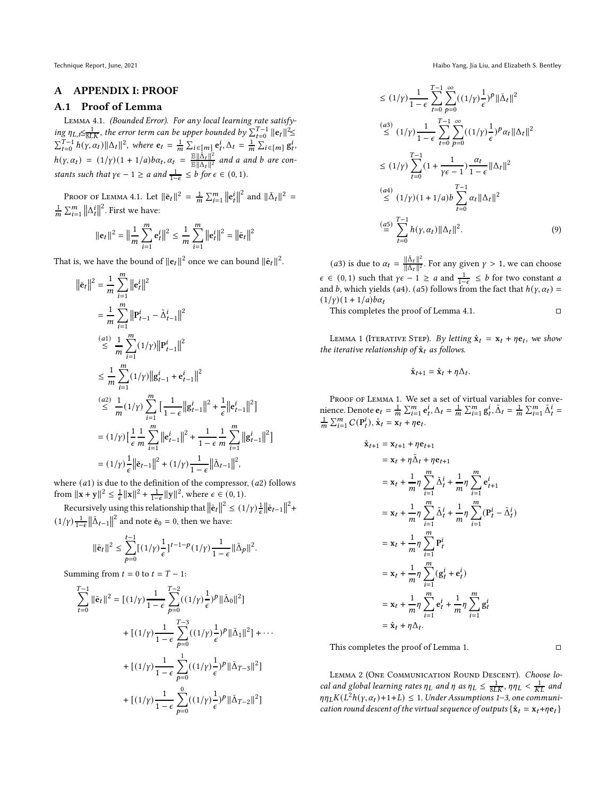#### A APPENDIX I: PROOF

# A.1 Proof of Lemma

Lemma 4.1. (Bounded Error). For any local learning rate satisfying  $\eta_{L,t}\leq \frac{1}{8LK}$ , the error term can be upper bounded by  $\sum_{t=0}^{T-1} ||e_t||^2 \leq$  $\sum_{t=0}^{T-1} h(\gamma, \alpha_t) ||\Delta_t||^2$ , where  $\mathbf{e}_t = \frac{1}{m} \sum_{i \in [m]} \mathbf{e}_t^i$ ,  $\Delta_t = \frac{1}{m} \sum_{i \in [m]} \mathbf{g}_t^i$ ,  $h(\gamma, \alpha_t) = (1/\gamma)(1 + 1/a)b\alpha_t, \alpha_t = \frac{\mathbb{E} \|\tilde{\Delta}_t\|^2}{\mathbb{E} \|\Delta_t\|^2}$  and a and b are constants such that  $\gamma \epsilon - 1 \ge a$  and  $\frac{1}{1-\epsilon} \le b$  for  $\epsilon \in (0,1)$ .

PROOF OF LEMMA [4.1.](#page-4-0) Let  $\|\bar{\mathbf{e}}_t\|^2 = \frac{1}{m} \sum_{i=1}^m \left\|\mathbf{e}_t^i\right\|^2$  and  $\|\bar{\Delta}_t\|^2 =$  $\frac{1}{m}\sum_{i=1}^{m} ||\Delta_t^i||^2$ . First we have:

$$
\|\mathbf{e}_t\|^2 = \left\|\frac{1}{m}\sum_{i=1}^m \mathbf{e}_t^i\right\|^2 \le \frac{1}{m}\sum_{i=1}^m \left\|\mathbf{e}_t^i\right\|^2 = \left\|\bar{\mathbf{e}}_t\right\|^2
$$

That is, we have the bound of  $||{\bf e}_t||^2$  once we can bound  $||{\bf \bar{e}}_t||^2$ .

$$
\|\bar{\mathbf{e}}_{t}\|^{2} = \frac{1}{m} \sum_{i=1}^{m} \|\mathbf{e}_{t}^{i}\|^{2}
$$
  
\n
$$
= \frac{1}{m} \sum_{i=1}^{m} \|\mathbf{P}_{t-1}^{i} - \tilde{\Delta}_{t-1}^{i}\|^{2}
$$
  
\n
$$
\leq \frac{1}{m} \sum_{i=1}^{m} (1/\gamma) \|\mathbf{P}_{t-1}^{i}\|^{2}
$$
  
\n
$$
\leq \frac{1}{m} \sum_{i=1}^{m} (1/\gamma) \|\mathbf{g}_{t-1}^{i} + \mathbf{e}_{t-1}^{i}\|^{2}
$$
  
\n
$$
\leq \frac{a}{m} (1/\gamma) \sum_{i=1}^{m} \left[\frac{1}{1-\epsilon} \|\mathbf{g}_{t-1}^{i}\|^{2} + \frac{1}{\epsilon} \|\mathbf{e}_{t-1}^{i}\|^{2}\right]
$$
  
\n
$$
= (1/\gamma) \left[\frac{1}{\epsilon} \frac{1}{m} \sum_{i=1}^{m} \|\mathbf{e}_{t-1}^{i}\|^{2} + \frac{1}{1-\epsilon} \frac{1}{m} \sum_{i=1}^{m} \|\mathbf{g}_{t-1}^{i}\|^{2}\right]
$$
  
\n
$$
= (1/\gamma) \frac{1}{\epsilon} \|\bar{\mathbf{e}}_{t-1}\|^{2} + (1/\gamma) \frac{1}{1-\epsilon} \|\bar{\Delta}_{t-1}\|^{2},
$$

where  $(a1)$  is due to the definition of the compressor,  $(a2)$  follows from  $||\mathbf{x} + \mathbf{y}||^2 \le \frac{1}{\epsilon} ||\mathbf{x}||^2 + \frac{1}{1-\epsilon} ||\mathbf{y}||^2$ , where  $\epsilon \in (0, 1)$ .

Recursively using this relationship that  $\left\|\bar{\mathbf{e}}_t\right\|^2 \leq (1/\gamma) \frac{1}{\epsilon} \left\|\bar{\mathbf{e}}_{t-1}\right\|^2 +$  $(1/\gamma) \frac{1}{1-\epsilon} \left\| \bar{\Delta}_{t-1} \right\|^2$  and note  $\bar{\mathbf{e}}_0 = 0$ , then we have:

$$
\|\bar{\mathbf{e}}_t\|^2 \leq \sum_{p=0}^{t-1} [(1/\gamma) \frac{1}{\epsilon}]^{t-1-p} (1/\gamma) \frac{1}{1-\epsilon} \|\bar{\Delta}_p\|^2.
$$

Summing from  $t = 0$  to  $t = T - 1$ :

$$
\sum_{t=0}^{T-1} \|\bar{\mathbf{e}}_t\|^2 = \left[ (1/\gamma) \frac{1}{1-\epsilon} \sum_{p=0}^{T-2} ((1/\gamma) \frac{1}{\epsilon})^p \|\bar{\Delta}_0\|^2 \right] \n+ \left[ (1/\gamma) \frac{1}{1-\epsilon} \sum_{p=0}^{T-3} ((1/\gamma) \frac{1}{\epsilon})^p \|\bar{\Delta}_1\|^2 \right] + \cdots \n+ \left[ (1/\gamma) \frac{1}{1-\epsilon} \sum_{p=0}^{1} ((1/\gamma) \frac{1}{\epsilon})^p \|\bar{\Delta}_{T-3}\|^2 \right] \n+ \left[ (1/\gamma) \frac{1}{1-\epsilon} \sum_{p=0}^{0} ((1/\gamma) \frac{1}{\epsilon})^p \|\bar{\Delta}_{T-2}\|^2 \right]
$$

Technique Report, June, 2021 Haibo Yang, Jia Liu, and Elizabeth S. Bentley

$$
\leq (1/\gamma) \frac{1}{1-\epsilon} \sum_{t=0}^{T-1} \sum_{p=0}^{\infty} ((1/\gamma) \frac{1}{\epsilon})^p ||\bar{\Delta}_t||^2
$$
  
\n
$$
\leq (1/\gamma) \frac{1}{1-\epsilon} \sum_{t=0}^{T-1} \sum_{p=0}^{\infty} ((1/\gamma) \frac{1}{\epsilon})^p \alpha_t ||\Delta_t||^2
$$
  
\n
$$
\leq (1/\gamma) \sum_{t=0}^{T-1} (1 + \frac{1}{\gamma \epsilon - 1}) \frac{\alpha_t}{1-\epsilon} ||\Delta_t||^2
$$
  
\n
$$
\leq (1/\gamma)(1 + 1/a) b \sum_{t=0}^{T-1} \alpha_t ||\Delta_t||^2
$$
  
\n
$$
\stackrel{(a4)}{=} \sum_{t=0}^{T-1} h(\gamma, \alpha_t) ||\Delta_t||^2.
$$
 (9)

(*a*3) is due to  $\alpha_t = \frac{\|\bar{\Delta}_t\|^2}{\|\Delta_t\|^2}$  $\frac{\|\Delta_t\|^2}{\|\Delta_t\|^2}$ . For any given  $\gamma > 1$ , we can choose  $\epsilon \in (0, 1)$  such that  $\gamma \epsilon - 1 \ge a$  and  $\frac{1}{1-\epsilon} \le b$  for two constant a and b, which yields ( $a$ 4). ( $a$ 5) follows from the fact that  $h(y, \alpha_t) =$  $(1/y)(1 + 1/a)b\alpha_t$ 

This completes the proof of Lemma [4.1.](#page-4-0)

<span id="page-9-0"></span>LEMMA 1 (ITERATIVE STEP). By letting  $\hat{\mathbf{x}}_t = \mathbf{x}_t + \eta \mathbf{e}_t$ , we show the iterative relationship of  $\hat{\mathbf{x}}_t$  as follows.

$$
\hat{\mathbf{x}}_{t+1} = \hat{\mathbf{x}}_t + \eta \Delta_t.
$$

PROOF OF LEMMA [1.](#page-9-0) We set a set of virtual variables for convenience. Denote  $e_t = \frac{1}{m} \sum_{i=1}^m e_t^i$ ,  $\Delta_t = \frac{1}{m} \sum_{i=1}^m g_t^i$ ,  $\tilde{\Delta}_t = \frac{1}{m} \sum_{i=1}^m \tilde{\Delta}_t^i$  $\frac{1}{m} \sum_{i=1}^{m} C(P_t^i), \hat{\mathbf{x}}_t = \mathbf{x}_t + \eta \mathbf{e}_t.$ 

$$
\hat{\mathbf{x}}_{t+1} = \mathbf{x}_{t+1} + \eta \mathbf{e}_{t+1} \n= \mathbf{x}_{t} + \eta \tilde{\Delta}_{t} + \eta \mathbf{e}_{t+1} \n= \mathbf{x}_{t} + \frac{1}{m} \eta \sum_{i=1}^{m} \tilde{\Delta}_{t}^{i} + \frac{1}{m} \eta \sum_{i=1}^{m} \mathbf{e}_{t+1}^{i} \n= \mathbf{x}_{t} + \frac{1}{m} \eta \sum_{i=1}^{m} \tilde{\Delta}_{t}^{i} + \frac{1}{m} \eta \sum_{i=1}^{m} (\mathbf{P}_{t}^{i} - \tilde{\Delta}_{t}^{i}) \n= \mathbf{x}_{t} + \frac{1}{m} \eta \sum_{i=1}^{m} \mathbf{P}_{t}^{i} \n= \mathbf{x}_{t} + \frac{1}{m} \eta \sum_{i=1}^{m} (\mathbf{g}_{t}^{i} + \mathbf{e}_{t}^{i}) \n= \mathbf{x}_{t} + \frac{1}{m} \eta \sum_{i=1}^{m} \mathbf{e}_{t}^{i} + \frac{1}{m} \eta \sum_{i=1}^{m} \mathbf{g}_{t}^{i} \n= \hat{\mathbf{x}}_{t} + \eta \Delta_{t}.
$$

This completes the proof of Lemma [1.](#page-9-0)

<span id="page-9-1"></span>Lemma 2 (One Communication Round Descent). Choose local and global learning rates  $\eta_L$  and  $\eta$  as  $\eta_L \leq \frac{1}{8LK}$ ,  $\eta \eta_L < \frac{1}{KL}$  and  $\eta \eta_L K(L^2 h(\gamma, \alpha_t) + 1 + L) \leq 1$  $\eta \eta_L K(L^2 h(\gamma, \alpha_t) + 1 + L) \leq 1$  $\eta \eta_L K(L^2 h(\gamma, \alpha_t) + 1 + L) \leq 1$ . Under Assumptions 1[–3,](#page-3-5) one communication round descent of the virtual sequence of outputs  $\{\hat{\mathbf{x}}_t = \mathbf{x}_t + \eta \mathbf{e}_t\}$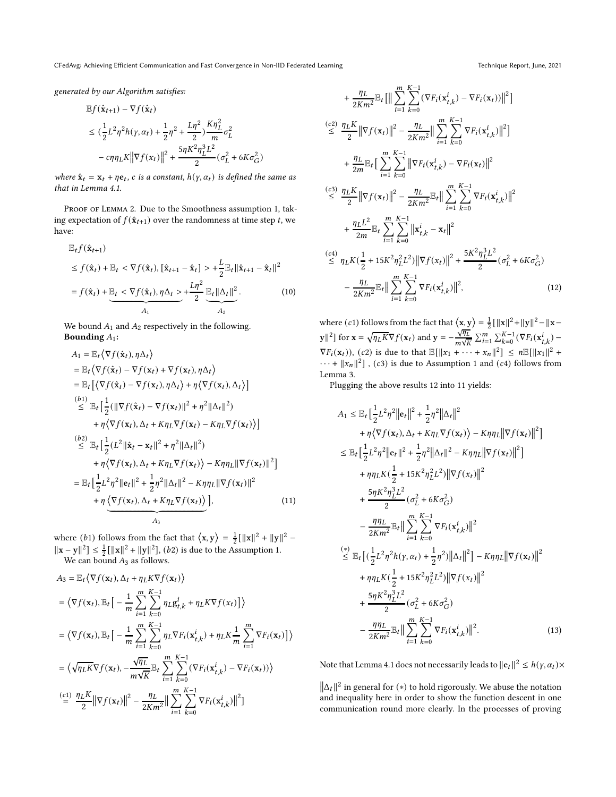CFedAvg: Achieving Efficient Communication and Fast Convergence in Non-IID Federated Learning Technique Report, June, 2021

<span id="page-10-0"></span>

generated by our Algorithm satisfies:

$$
\begin{aligned} &\mathbb{E}f(\hat{\mathbf{x}}_{t+1}) - \nabla f(\hat{\mathbf{x}}_t) \\ &\leq (\frac{1}{2}L^2\eta^2h(\gamma,\alpha_t) + \frac{1}{2}\eta^2 + \frac{L\eta^2}{2})\frac{K\eta_L^2}{m}\sigma_L^2 \\ &- c\eta\eta_L K \|\nabla f(x_t)\|^2 + \frac{5\eta K^2\eta_L^3 L^2}{2}(\sigma_L^2 + 6K\sigma_G^2) \end{aligned}
$$

where  $\hat{\mathbf{x}}_t = \mathbf{x}_t + \eta \mathbf{e}_t$ , c is a constant,  $h(\gamma, \alpha_t)$  is defined the same as that in Lemma [4.1.](#page-4-0)

PROOF OF LEMMA [2.](#page-9-1) Due to the Smoothness assumption [1,](#page-3-6) taking expectation of  $f(\hat{\mathbf{x}}_{t+1})$  over the randomness at time step t, we have:

$$
\mathbb{E}_{t}f(\hat{\mathbf{x}}_{t+1})\n\leq f(\hat{\mathbf{x}}_{t}) + \mathbb{E}_{t} < \nabla f(\hat{\mathbf{x}}_{t}), [\hat{\mathbf{x}}_{t+1} - \hat{\mathbf{x}}_{t}] > + \frac{L}{2} \mathbb{E}_{t} ||\hat{\mathbf{x}}_{t+1} - \hat{\mathbf{x}}_{t}||^{2}\n= f(\hat{\mathbf{x}}_{t}) + \underbrace{\mathbb{E}_{t} < \nabla f(\hat{\mathbf{x}}_{t}), \eta \Delta_{t}}_{A_{1}} \geq + \frac{L\eta^{2}}{2} \underbrace{\mathbb{E}_{t} ||\Delta_{t}||^{2}}_{A_{2}}.
$$
\n(10)

We bound  $A_1$  and  $A_2$  respectively in the following. Bounding  $A_1$ :

$$
A_1 = \mathbb{E}_t \langle \nabla f(\hat{\mathbf{x}}_t), \eta \Delta_t \rangle
$$
  
\n
$$
= \mathbb{E}_t \langle \nabla f(\hat{\mathbf{x}}_t) - \nabla f(\mathbf{x}_t) + \nabla f(\mathbf{x}_t), \eta \Delta_t \rangle
$$
  
\n
$$
= \mathbb{E}_t [\langle \nabla f(\hat{\mathbf{x}}_t) - \nabla f(\mathbf{x}_t), \eta \Delta_t \rangle + \eta \langle \nabla f(\mathbf{x}_t), \Delta_t \rangle]
$$
  
\n
$$
\stackrel{(b_1)}{\leq} \mathbb{E}_t [\frac{1}{2} (\|\nabla f(\hat{\mathbf{x}}_t) - \nabla f(\mathbf{x}_t) \|^2 + \eta^2 \|\Delta_t\|^2 )
$$
  
\n
$$
+ \eta \langle \nabla f(\mathbf{x}_t), \Delta_t + K \eta_L \nabla f(\mathbf{x}_t) - K \eta_L \nabla f(\mathbf{x}_t) \rangle]
$$
  
\n
$$
\stackrel{(b_2)}{\leq} \mathbb{E}_t [\frac{1}{2} (L^2 \|\hat{\mathbf{x}}_t - \mathbf{x}_t\|^2 + \eta^2 \|\Delta_t\|^2 )
$$
  
\n
$$
+ \eta \langle \nabla f(\mathbf{x}_t), \Delta_t + K \eta_L \nabla f(\mathbf{x}_t) \rangle - K \eta \eta_L \|\nabla f(\mathbf{x}_t)\|^2]
$$
  
\n
$$
= \mathbb{E}_t [\frac{1}{2} L^2 \eta^2 \|\mathbf{e}_t\|^2 + \frac{1}{2} \eta^2 \|\Delta_t\|^2 - K \eta \eta_L \|\nabla f(\mathbf{x}_t)\|^2
$$
  
\n
$$
+ \eta \langle \nabla f(\mathbf{x}_t), \Delta_t + K \eta_L \nabla f(\mathbf{x}_t) \rangle ],
$$
  
\n
$$
+ \eta \langle \frac{\partial f(\mathbf{x}_t), \Delta_t + K \eta_L \nabla f(\mathbf{x}_t) \rangle}{\partial \mathbf{x}_t}, \qquad (11)
$$

where (*b*<sub>1</sub>) follows from the fact that  $\langle x, y \rangle = \frac{1}{2} [||x||^2 + ||y||^2 \|\mathbf{x} - \mathbf{y}\|^2 \le \frac{1}{2} [\|\mathbf{x}\|^2 + \|\mathbf{y}\|^2], (b2)$  is due to the Assumption [1.](#page-3-6)

We can bound  $A_3$  as follows.

$$
A_3 = \mathbb{E}_t \langle \nabla f(\mathbf{x}_t), \Delta_t + \eta_L K \nabla f(\mathbf{x}_t) \rangle
$$
  
\n
$$
= \langle \nabla f(\mathbf{x}_t), \mathbb{E}_t \Big[ -\frac{1}{m} \sum_{i=1}^m \sum_{k=0}^{K-1} \eta_L g_{t,k}^i + \eta_L K \nabla f(\mathbf{x}_t) \Big] \rangle
$$
  
\n
$$
= \langle \nabla f(\mathbf{x}_t), \mathbb{E}_t \Big[ -\frac{1}{m} \sum_{i=1}^m \sum_{k=0}^{K-1} \eta_L \nabla F_i(\mathbf{x}_{t,k}^i) + \eta_L K \frac{1}{m} \sum_{i=1}^m \nabla F_i(\mathbf{x}_t) \Big] \rangle
$$
  
\n
$$
= \langle \sqrt{\eta_L K} \nabla f(\mathbf{x}_t), -\frac{\sqrt{\eta_L}}{m \sqrt{K}} \mathbb{E}_t \sum_{i=1}^m \sum_{k=0}^{K-1} (\nabla F_i(\mathbf{x}_{t,k}^i) - \nabla F_i(\mathbf{x}_t)) \rangle
$$
  
\n
$$
\stackrel{(c1)}{=} \frac{\eta_L K}{2} \|\nabla f(\mathbf{x}_t)\|^2 - \frac{\eta_L}{2Km^2} \|\sum_{i=1}^m \sum_{k=0}^{K-1} \nabla F_i(\mathbf{x}_{t,k}^i) \|^2 \Big]
$$

$$
+\frac{\eta_L}{2Km^2} \mathbb{E}_t \left[ \left\| \sum_{i=1}^m \sum_{k=0}^{K-1} (\nabla F_i(\mathbf{x}_{t,k}^i) - \nabla F_i(\mathbf{x}_t)) \right\|^2 \right]
$$
\n
$$
\stackrel{(c2)}{\leq} \frac{\eta_L K}{2} \left\| \nabla f(\mathbf{x}_t) \right\|^2 - \frac{\eta_L}{2Km^2} \left\| \sum_{i=1}^m \sum_{k=0}^{K-1} \nabla F_i(\mathbf{x}_{t,k}^i) \right\|^2 \right]
$$
\n
$$
+\frac{\eta_L}{2m} \mathbb{E}_t \left[ \sum_{i=1}^m \sum_{k=0}^{K-1} \left\| \nabla F_i(\mathbf{x}_{t,k}^i) - \nabla F_i(\mathbf{x}_t) \right\|^2
$$
\n
$$
\stackrel{(c3)}{\leq} \frac{\eta_L K}{2} \left\| \nabla f(\mathbf{x}_t) \right\|^2 - \frac{\eta_L}{2Km^2} \mathbb{E}_t \left\| \sum_{i=1}^m \sum_{k=0}^{K-1} \nabla F_i(\mathbf{x}_{t,k}^i) \right\|^2
$$
\n
$$
+\frac{\eta_L L^2}{2m} \mathbb{E}_t \sum_{i=1}^m \sum_{k=0}^{K-1} \left\| \mathbf{x}_{t,k}^i - \mathbf{x}_t \right\|^2
$$
\n
$$
\stackrel{(c4)}{\leq} \eta_L K(\frac{1}{2} + 15K^2 \eta_L^2 L^2) \left\| \nabla f(\mathbf{x}_t) \right\|^2 + \frac{5K^2 \eta_L^3 L^2}{2} (\sigma_L^2 + 6K\sigma_G^2)
$$
\n
$$
-\frac{\eta_L}{2Km^2} \mathbb{E}_t \left\| \sum_{i=1}^m \sum_{k=0}^{K-1} \nabla F_i(\mathbf{x}_{t,k}^i) \right\|^2, \tag{12}
$$

<span id="page-10-3"></span>where (*c*1) follows from the fact that  $\langle x, y \rangle = \frac{1}{2} [||x||^2 + ||y||^2 - ||x ||y||^2$  for  $\mathbf{x} = \sqrt{\eta_L K} \nabla f(\mathbf{x}_t)$  and  $\mathbf{y} = -\frac{\sqrt{\eta_L}}{m\sqrt{k}}$  $\frac{\sqrt{\eta_L}}{m\sqrt{K}}\sum_{i=1}^m\sum_{k=0}^{K-1}(\nabla F_i(\mathbf{x}_{t,k}^i) \nabla F_i(\mathbf{x}_t)$ , (c2) is due to that  $\mathbb{E}[\Vert x_1 + \cdots + x_n \Vert^2] \leq n \mathbb{E}[\Vert x_1 \Vert^2 +$  $\cdots + ||x_n||^2$ ,  $(c3)$  is due to Assumption [1](#page-3-6) and  $(c4)$  follows from Lemma [3.](#page-14-0)

Plugging the above results [12](#page-10-0) into [11](#page-10-1) yields:

<span id="page-10-1"></span>
$$
A_{1} \leq \mathbb{E}_{t} \Big[ \frac{1}{2} L^{2} \eta^{2} ||e_{t}||^{2} + \frac{1}{2} \eta^{2} ||\Delta_{t}||^{2} + \eta \langle \nabla f(\mathbf{x}_{t}), \Delta_{t} + K \eta_{L} \nabla f(\mathbf{x}_{t}) \rangle - K \eta \eta_{L} ||\nabla f(\mathbf{x}_{t})||^{2} \Big]
$$
  
\n
$$
\leq \mathbb{E}_{t} \Big[ \frac{1}{2} L^{2} \eta^{2} ||e_{t}||^{2} + \frac{1}{2} \eta^{2} ||\Delta_{t}||^{2} - K \eta \eta_{L} ||\nabla f(\mathbf{x}_{t})||^{2} \Big]
$$
  
\n
$$
+ \eta \eta_{L} K \Big( \frac{1}{2} + 15 K^{2} \eta_{L}^{2} L^{2} \Big) ||\nabla f(\mathbf{x}_{t})||^{2}
$$
  
\n
$$
+ \frac{5 \eta K^{2} \eta_{L}^{2} L^{2}}{2} (\sigma_{L}^{2} + 6K \sigma_{G}^{2})
$$
  
\n
$$
- \frac{\eta \eta_{L}}{2 K m^{2}} \mathbb{E}_{t} \Big\| \sum_{i=1}^{m} \sum_{k=0}^{K-1} \nabla F_{i}(\mathbf{x}_{t,k}^{i}) ||^{2}
$$
  
\n
$$
\Big\| \leq \mathbb{E}_{t} \Big[ \Big( \frac{1}{2} L^{2} \eta^{2} h(\gamma, \alpha_{t}) + \frac{1}{2} \eta^{2} \Big) ||\Delta_{t}||^{2} \Big] - K \eta \eta_{L} ||\nabla f(\mathbf{x}_{t})||^{2}
$$
  
\n
$$
+ \eta \eta_{L} K \Big( \frac{1}{2} + 15 K^{2} \eta_{L}^{2} L^{2} \Big) ||\nabla f(\mathbf{x}_{t})||^{2}
$$
  
\n
$$
+ \frac{5 \eta K^{2} \eta_{L}^{3} L^{2}}{2} (\sigma_{L}^{2} + 6K \sigma_{G}^{2})
$$
  
\n
$$
- \frac{\eta \eta_{L}}{2 K m^{2}} \mathbb{E}_{t} \Big\| \sum_{i=1}^{m} \sum_{k=0}^{K-1} \nabla F_{
$$

<span id="page-10-2"></span>Note that Lemma [4.1](#page-4-0) does not necessarily leads to  $||{\bf e}_t||^2 \le h(\gamma,\alpha_t)\times$ 

 $\|\Delta_t\|^2$  in general for (\*) to hold rigorously. We abuse the notation and inequality here in order to show the function descent in one communication round more clearly. In the processes of proving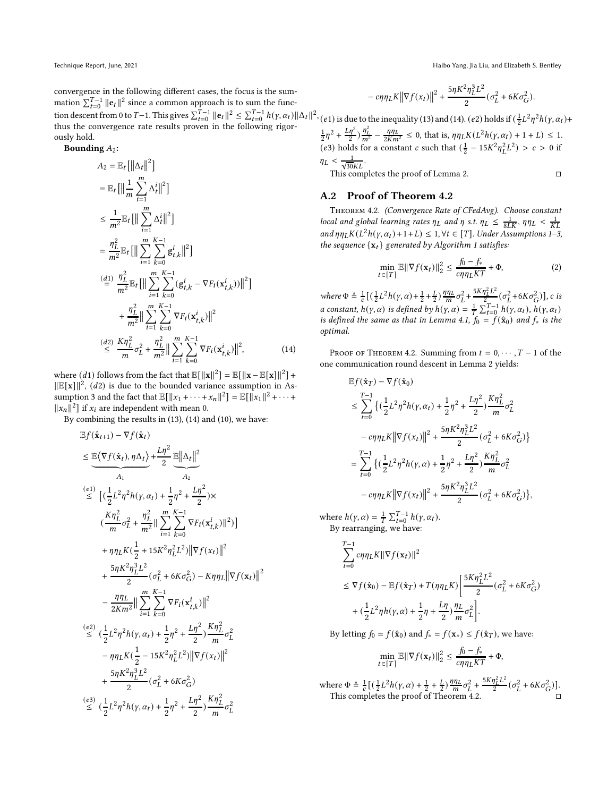Technique Report, June, 2021 Haibo Yang, Jia Liu, and Elizabeth S. Bentley

convergence in the following different cases, the focus is the summation  $\sum_{t=0}^{T-1} ||e_t||^2$  since a common approach is to sum the function descent from 0 to *T*−1. This gives  $\sum_{t=0}^{T-1} ||\mathbf{e}_t||^2 \le \sum_{t=0}^{T-1} h(\gamma, \alpha_t) ||\Delta_t||^2$ , thus the convergence rate results proven in the following rigorously hold.

Bounding  $A_2$ :

$$
A_2 = \mathbb{E}_t [||\Delta_t||^2]
$$
  
\n
$$
= \mathbb{E}_t [||\frac{1}{m} \sum_{i=1}^m \Delta_t^i||^2]
$$
  
\n
$$
\leq \frac{1}{m^2} \mathbb{E}_t [||\sum_{i=1}^m \Delta_t^i||^2]
$$
  
\n
$$
= \frac{\eta_L^2}{m^2} \mathbb{E}_t [||\sum_{i=1}^m \sum_{k=0}^{K-1} g_{t,k}^i||^2]
$$
  
\n
$$
(\stackrel{d}{=} \frac{1}{m^2} \mathbb{E}_t [||\sum_{i=1}^m \sum_{k=0}^{K-1} (g_{t,k}^i - \nabla F_i(\mathbf{x}_{t,k}^i))||^2]
$$
  
\n
$$
+ \frac{\eta_L^2}{m^2} ||\sum_{i=1}^m \sum_{k=0}^{K-1} \nabla F_i(\mathbf{x}_{t,k}^i)||^2
$$
  
\n
$$
(\stackrel{d}{=} \frac{K\eta_L^2}{m} \sigma_L^2 + \frac{\eta_L^2}{m^2} ||\sum_{i=1}^m \sum_{k=0}^{K-1} \nabla F_i(\mathbf{x}_{t,k}^i)||^2,
$$
\n(14)

where  $(d1)$  follows from the fact that  $\mathbb{E}[||\mathbf{x}||^2] = \mathbb{E}[||\mathbf{x} - \mathbb{E}[\mathbf{x}]||^2] +$  $\|\mathbb{E}[\mathbf{x}]\|^2$ , (*d*2) is due to the bounded variance assumption in As-sumption [3](#page-3-5) and the fact that  $\mathbb{E}[\|x_1 + \cdots + x_n\|^2] = \mathbb{E}[\|x_1\|^2 + \cdots +$  $||x_n||^2$  if  $x_i$  are independent with mean 0.

By combining the results in [\(13\)](#page-10-2), [\(14\)](#page-11-0) and [\(10\)](#page-10-3), we have:

$$
\mathbb{E} f(\hat{\mathbf{x}}_{t+1}) - \nabla f(\hat{\mathbf{x}}_{t}) \n\leq \underbrace{\mathbb{E} \langle \nabla f(\hat{\mathbf{x}}_{t}), \eta \Delta_{t} \rangle}_{A_{1}} + \frac{L\eta^{2}}{2} \underbrace{\mathbb{E} ||\Delta_{t}||^{2}}_{A_{2}} \n\stackrel{(e1)}{\leq} \left[ (\frac{1}{2}L^{2}\eta^{2}h(\gamma,\alpha_{t}) + \frac{1}{2}\eta^{2} + \frac{L\eta^{2}}{2}) \times \right. \n\left. (\frac{K\eta_{L}^{2}}{m}\sigma_{L}^{2} + \frac{\eta_{L}^{2}}{m^{2}} || \sum_{i=1}^{m} \sum_{k=0}^{K-1} \nabla F_{i}(\mathbf{x}_{t,k}^{i}) ||^{2}) \right] \n+ \eta\eta_{L} K(\frac{1}{2} + 15K^{2}\eta_{L}^{2}L^{2}) ||\nabla f(\mathbf{x}_{t})||^{2} \n+ \frac{5\eta K^{2}\eta_{L}^{3}L^{2}}{2} (\sigma_{L}^{2} + 6K\sigma_{G}^{2}) - K\eta\eta_{L} ||\nabla f(\mathbf{x}_{t})||^{2} \n- \frac{\eta\eta_{L}}{2Km^{2}} || \sum_{i=1}^{m} \sum_{k=0}^{K-1} \nabla F_{i}(\mathbf{x}_{t,k}^{i}) ||^{2} \n- \frac{\eta\eta_{L}}{2Km^{2}} || \sum_{i=1}^{m} \sum_{k=0}^{K-1} \nabla F_{i}(\mathbf{x}_{t,k}^{i}) ||^{2} \n- \eta\eta_{L} K(\frac{1}{2} - 15K^{2}\eta_{L}^{2}L^{2}) ||\nabla f(\mathbf{x}_{t})||^{2} \n+ \frac{5\eta K^{2}\eta_{L}^{3}L^{2}}{2} (\sigma_{L}^{2} + 6K\sigma_{G}^{2}) \n\leq (\frac{1}{2}L^{2}\eta^{2}h(\gamma,\alpha_{t}) + \frac{1}{2}\eta^{2} + \frac{L\eta^{2}}{2})\frac{K\eta_{L}^{2}}{m}\sigma_{L}^{2} \n\leq (\frac{1}{2}L^{2}\eta^{2}h(\gamma,\alpha_{t
$$

$$
\label{eq:Rho} -\left. c\eta\eta_L K\right\|\nabla f(x_t)\right\|^2 + \frac{5\eta K^2\eta_L^3L^2}{2}(\sigma_L^2 + 6K\sigma_G^2).
$$

(e1) is due to the inequality [\(13\)](#page-10-2) and [\(14\)](#page-11-0). (e2) holds if  $(\frac{1}{2}L^2\eta^2h(\gamma,\alpha_t)+$ 

 $\frac{1}{2}\eta^2 + \frac{L\eta^2}{2}\frac{\eta_L^2}{m^2} - \frac{\eta\eta_L}{2Km^2} \le 0$ , that is,  $\eta\eta_L K(L^2 h(\gamma, \alpha_t) + 1 + L) \le 1$ . (e3) holds for a constant c such that  $(\frac{1}{2} - 15K^2 \eta_L^2 L^2) > c > 0$  if  $\eta_L < \frac{1}{\sqrt{30KL}}$ . This completes the proof of Lemma [2.](#page-9-1)

# A.2 Proof of Theorem [4.2](#page-4-2)

Theorem 4.2. (Convergence Rate of CFedAvg). Choose constant local and global learning rates  $\eta_L$  and  $\eta$  s.t.  $\eta_L \leq \frac{1}{8LK}$ ,  $\eta \eta_L < \frac{1}{KL}$ and  $\eta \eta_L K(L^2 h(\gamma, \alpha_t) + 1 + L) \leq 1, \forall t \in [T]$  $\eta \eta_L K(L^2 h(\gamma, \alpha_t) + 1 + L) \leq 1, \forall t \in [T]$  $\eta \eta_L K(L^2 h(\gamma, \alpha_t) + 1 + L) \leq 1, \forall t \in [T]$ . Under Assumptions 1[–3,](#page-3-5) the sequence  $\{x_t\}$  generated by Algorithm [1](#page-3-4) satisfies:

$$
\min_{t \in [T]} \mathbb{E} \|\nabla f(\mathbf{x}_t)\|_2^2 \le \frac{f_0 - f_*}{c\eta \eta_L KT} + \Phi,\tag{2}
$$

where  $\Phi \triangleq \frac{1}{c} \left[ \left( \frac{1}{2} L^2 h(\gamma, \alpha) + \frac{1}{2} + \frac{L}{2} \right) \frac{\eta \eta_L}{m} \sigma_L^2 + \right]$ 5 $K \eta_L^2 L^2$  $\frac{\partial L^L}{\partial \phi^2} (\sigma_L^2 + 6K\sigma_G^2)$ ], c is a constant,  $h(\gamma, \alpha)$  is defined by  $h(\gamma, \alpha) = \frac{1}{T} \sum_{t=0}^{T-1} h(\gamma, \alpha_t)$ ,  $h(\gamma, \alpha_t)$ is defined the same as that in Lemma [4.1,](#page-4-0)  $f_0 = f(\hat{\mathbf{x}}_0)$  and  $f_*$  is the optimal.

<span id="page-11-0"></span>PROOF OF THEOREM [4.2.](#page-4-2) Summing from  $t = 0, \dots, T - 1$  of the one communication round descent in Lemma [2](#page-9-1) yields:

$$
\begin{split} &\mathbb{E} f(\hat{\mathbf{x}}_{T}) - \nabla f(\hat{\mathbf{x}}_{0}) \\ & \leq \sum_{t=0}^{T-1}\big\{(\frac{1}{2}L^{2}\eta^{2}h(\gamma,\alpha_{t}) + \frac{1}{2}\eta^{2} + \frac{L\eta^{2}}{2})\frac{K\eta_{L}^{2}}{m}\sigma_{L}^{2} \\ & - c\eta\eta_{L}K\big\|\nabla f(\mathbf{x}_{t})\big\|^{2} + \frac{5\eta K^{2}\eta_{L}^{3}L^{2}}{2}\big(\sigma_{L}^{2} + 6K\sigma_{G}^{2}\big)\big\} \\ & = \sum_{t=0}^{T-1}\big\{(\frac{1}{2}L^{2}\eta^{2}h(\gamma,\alpha) + \frac{1}{2}\eta^{2} + \frac{L\eta^{2}}{2})\frac{K\eta_{L}^{2}}{m}\sigma_{L}^{2} \\ & - c\eta\eta_{L}K\big\|\nabla f(\mathbf{x}_{t})\big\|^{2} + \frac{5\eta K^{2}\eta_{L}^{3}L^{2}}{2}\big(\sigma_{L}^{2} + 6K\sigma_{G}^{2}\big)\big\}, \end{split}
$$

where  $h(\gamma, \alpha) = \frac{1}{T} \sum_{t=0}^{T-1} h(\gamma, \alpha_t)$ . By rearranging, we have:

$$
\begin{aligned} &\sum_{t=0}^{T-1}c\eta\eta_L K\|\nabla f(\mathbf{x}_t)\|^2\\ &\leq \nabla f(\hat{\mathbf{x}}_0)-\mathbb{E} f(\hat{\mathbf{x}}_T)+T(\eta\eta_L K)\Bigg[\frac{5K\eta_L^2L^2}{2}(\sigma_L^2+6K\sigma_G^2)\\ &+(\frac{1}{2}L^2\eta h(\gamma,\alpha)+\frac{1}{2}\eta+\frac{L\eta}{2})\frac{\eta_L}{m}\sigma_L^2\Bigg]. \end{aligned}
$$

By letting  $f_0 = f(\hat{\mathbf{x}}_0)$  and  $f_* = f(\mathbf{x}_*) \leq f(\hat{\mathbf{x}}_T)$ , we have:

$$
\min_{t \in [T]} \mathbb{E} \|\nabla f(\mathbf{x}_t)\|_2^2 \le \frac{f_0 - f_*}{c\eta \eta_L KT} + \Phi,
$$

where  $\Phi \triangleq \frac{1}{c} \left[ \left( \frac{1}{2} L^2 h(\gamma, \alpha) + \frac{1}{2} + \frac{L}{2} \right) \frac{\eta \eta_L}{m} \sigma_L^2 + \right]$  $5K\eta_L^2L^2$  $\frac{\eta_L^2 L^2}{2} (\sigma_L^2 + 6K\sigma_G^2)].$ This completes the proof of Theorem [4.2.](#page-4-2)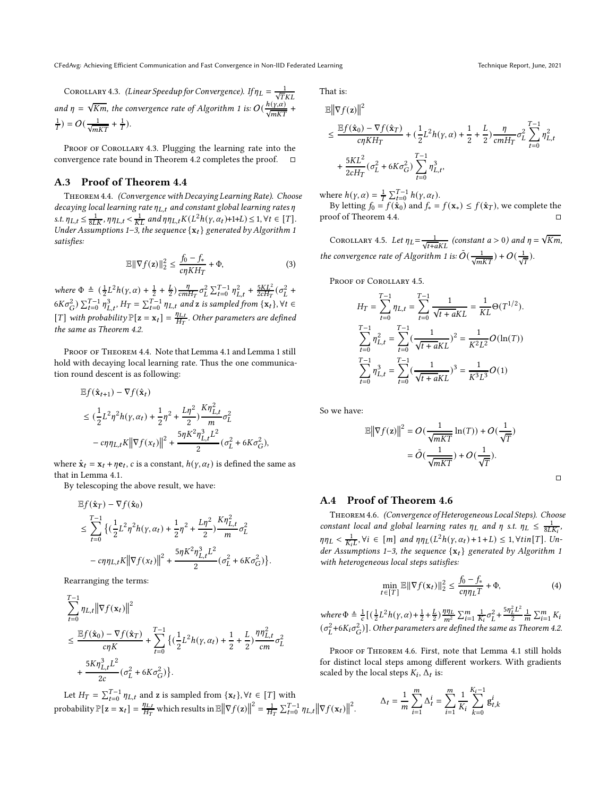COROLLARY 4.3. (Linear Speedup for Convergence). If  $\eta_L = \frac{1}{\sqrt{T}KL}$ and  $\eta = \sqrt{Km}$ , the convergence rate of Algorithm [1](#page-3-4) is:  $O(\frac{h(\gamma,\alpha)}{\sqrt{mKT}} + \frac{1}{2})$  $\frac{1}{T}$ ) =  $O(\frac{1}{\sqrt{mKT}} + \frac{1}{T})$ .

PROOF OF COROLLARY [4.3.](#page-4-3) Plugging the learning rate into the convergence rate bound in Theorem [4.2](#page-4-2) completes the proof.

# A.3 Proof of Theorem [4.4](#page-5-2)

Theorem 4.4. (Convergence with Decaying Learning Rate). Choose decaying local learning rate  $\eta_{L,t}$  and constant global learning rates  $\eta$ s.t.  $\eta_{L,t} \leq \frac{1}{8LK}$ ,  $\eta \eta_{L,t} < \frac{1}{KL}$  and  $\eta \eta_{L,t} K(L^2 h(\gamma, \alpha_t) + 1 + L) \leq 1, \forall t \in [T]$ . Under Assumptions [1](#page-3-4)[–3,](#page-3-5) the sequence  $\{x_t\}$  generated by Algorithm 1 satisfies:

$$
\mathbb{E} \|\nabla f(\mathbf{z})\|_2^2 \le \frac{f_0 - f_*}{c\eta K H_T} + \Phi,\tag{3}
$$

where  $\Phi \triangleq (\frac{1}{2}L^2h(\gamma,\alpha)+\frac{1}{2}+\frac{L}{2})\frac{\eta}{cm}$  $\frac{\eta}{cmH_T}\sigma_L^2 \sum_{t=0}^{T-1} \eta_{L,t}^2 + \frac{5KL^2}{2cH_T}(\sigma_L^2 +$  $6K\sigma_G^2$ )  $\sum_{t=0}^{T-1} \eta_{L,t}^3$ ,  $H_T = \sum_{t=0}^{T-1} \eta_{L,t}$  and  $\mathbf{z}$  is sampled from  $\{\mathbf{x}_t\}$ ,  $\forall t \in$ [T] with probability  $\mathbb{P}[\mathbf{z} = \mathbf{x}_t] = \frac{\eta_{L,t}}{H_T}$  $\frac{q_{L,t}}{H_T}$  . Other parameters are defined the same as Theorem [4.2.](#page-4-2)

PROOF OF THEOREM [4.4.](#page-5-2) Note that Lemma [4.1](#page-4-0) and Lemma [1](#page-9-0) still hold with decaying local learning rate. Thus the one communication round descent is as following:

$$
\begin{aligned} &\mathbb{E} f(\hat{\mathbf{x}}_{t+1}) - \nabla f(\hat{\mathbf{x}}_t) \\ &\leq (\frac{1}{2}L^2\eta^2 h(\gamma,\alpha_t) + \frac{1}{2}\eta^2 + \frac{L\eta^2}{2})\frac{K\eta_{L,t}^2}{m}\sigma_L^2 \\ &\quad - c\eta\eta_{L,t}K\big\|\nabla f(\mathbf{x}_t)\big\|^2 + \frac{5\eta K^2\eta_{L,t}^3L^2}{2}(\sigma_L^2 + 6K\sigma_G^2), \end{aligned}
$$

where  $\hat{\mathbf{x}}_t = \mathbf{x}_t + \eta \mathbf{e}_t$ , c is a constant,  $h(\gamma, \alpha_t)$  is defined the same as that in Lemma [4.1.](#page-4-0)

By telescoping the above result, we have:

$$
\begin{split} &\mathbb{E}f(\hat{\mathbf{x}}_{T})-\nabla f(\hat{\mathbf{x}}_{0}) \\ &\leq \sum_{t=0}^{T-1}\big\{(\frac{1}{2}L^{2}\eta^{2}h(\gamma,\alpha_{t})+\frac{1}{2}\eta^{2}+\frac{L\eta^{2}}{2})\frac{K\eta_{L,t}^{2}}{m}\sigma_{L}^{2} \\ &\quad-\epsilon\eta\eta_{L,t}K\big\|\nabla f(x_{t})\big\|^{2}+\frac{5\eta K^{2}\eta_{L,t}^{3}L^{2}}{2}(\sigma_{L}^{2}+6K\sigma_{G}^{2})\big\} \end{split}
$$

.

Rearranging the terms:

$$
\sum_{t=0}^{T-1} \eta_{L,t} ||\nabla f(\mathbf{x}_t)||^2
$$
\n
$$
\leq \frac{\mathbb{E}f(\hat{\mathbf{x}}_0) - \nabla f(\hat{\mathbf{x}}_T)}{\sigma \eta K} + \sum_{t=0}^{T-1} \left\{ \left( \frac{1}{2} L^2 h(\gamma, \alpha_t) + \frac{1}{2} + \frac{L}{2} \right) \frac{\eta \eta_{L,t}^2}{cm} \sigma_L^2 + \frac{5K \eta_{L,t}^3 L^2}{2c} (\sigma_L^2 + 6K \sigma_G^2) \right\}.
$$

Let  $H_T = \sum_{t=0}^{T-1} \eta_{L,t}$  and z is sampled from  $\{x_t\}$ ,  $\forall t \in [T]$  with probability  $\mathbb{P}[\mathbf{z} = \mathbf{x}_t] = \frac{\eta_{L,t}}{H_T}$  $\frac{\eta_{L,t}}{H_T}$  which results in  $\mathbb{E} \left\| \nabla f(\mathbf{z}) \right\|^2 = \frac{1}{H_T} \sum_{t=0}^{T-1} \eta_{L,t} \left\| \nabla f(\mathbf{x}_t) \right\|^2$ .

That is:

$$
\begin{split} &\mathbb{E}\left\|\nabla f(\mathbf{z})\right\|^{2} \\ &\leq \frac{\mathbb{E}f(\hat{\mathbf{x}}_{0})-\nabla f(\hat{\mathbf{x}}_{T})}{c\eta KH_{T}}+(\frac{1}{2}L^{2}h(\gamma,\alpha)+\frac{1}{2}+\frac{L}{2})\frac{\eta}{cmH_{T}}\sigma_{L}^{2}\sum_{t=0}^{T-1}\eta_{L,t}^{2} \\ &+\frac{5KL^{2}}{2cH_{T}}(\sigma_{L}^{2}+6K\sigma_{G}^{2})\sum_{t=0}^{T-1}\eta_{L,t}^{3}, \end{split}
$$

where  $h(\gamma, \alpha) = \frac{1}{T} \sum_{t=0}^{T-1} h(\gamma, \alpha_t)$ .

By letting  $f_0 = f(\dot{\mathbf{x}}_0)$  and  $f_* = f(\mathbf{x}_*) \le f(\dot{\mathbf{x}}_T)$ , we complete the proof of Theorem [4.4.](#page-5-2)

COROLLARY 4.5. Let  $\eta_L = \frac{1}{\sqrt{t+aKL}}$  (constant  $a > 0$ ) and  $\eta = \sqrt{Km}$ , the convergence rate of Algorithm [1](#page-3-4) is:  $\tilde{O}(\frac{1}{\sqrt{mKT}}) + O(\frac{1}{\sqrt{T}})$ .

PROOF OF COROLLARY [4.5.](#page-5-4)

$$
H_T = \sum_{t=0}^{T-1} \eta_{L,t} = \sum_{t=0}^{T-1} \frac{1}{\sqrt{t + aKL}} = \frac{1}{KL} \Theta(T^{1/2}).
$$
  

$$
\sum_{t=0}^{T-1} \eta_{L,t}^2 = \sum_{t=0}^{T-1} (\frac{1}{\sqrt{t + aKL}})^2 = \frac{1}{K^2 L^2} O(\ln(T))
$$
  

$$
\sum_{t=0}^{T-1} \eta_{L,t}^3 = \sum_{t=0}^{T-1} (\frac{1}{\sqrt{t + aKL}})^3 = \frac{1}{K^3 L^3} O(1)
$$

So we have:

$$
\mathbb{E} \left\| \nabla f(\mathbf{z}) \right\|^2 = O\left(\frac{1}{\sqrt{mKT}} \ln(T)\right) + O\left(\frac{1}{\sqrt{T}}\right)
$$

$$
= \tilde{O}\left(\frac{1}{\sqrt{mKT}}\right) + O\left(\frac{1}{\sqrt{T}}\right).
$$

 $\Box$ 

# A.4 Proof of Theorem [4.6](#page-5-3)

Theorem 4.6. (Convergence of Heterogeneous Local Steps). Choose constant local and global learning rates  $\eta_L$  and  $\eta$  s.t.  $\eta_L \leq \frac{1}{8LK_i}$ ,  $\eta \eta_L < \frac{1}{K_i L}$ ,  $\forall i \in [m]$  and  $\eta \eta_L (L^2 h(\gamma, \alpha_t) + 1 + L) \leq 1$ ,  $\forall \text{tin}[T]$ . Un-der Assumptions [1](#page-3-4)-3, the sequence  $\{x_t\}$  generated by Algorithm 1 with heterogeneous local steps satisfies:

$$
\min_{t \in [T]} \mathbb{E} \|\nabla f(\mathbf{x}_t)\|_2^2 \le \frac{f_0 - f_*}{c \eta \eta_L T} + \Phi,\tag{4}
$$

where 
$$
\Phi \triangleq \frac{1}{c} \left[ \left( \frac{1}{2} L^2 h(\gamma, \alpha) + \frac{1}{2} + \frac{L}{2} \right) \frac{\eta \eta_L}{m^2} \sum_{i=1}^m \frac{1}{K_i} \sigma_L^2 + \frac{5 \eta_L^2 L^2}{2} \frac{1}{m} \sum_{i=1}^m K_i \left( \sigma_L^2 + 6K_i \sigma_G^2 \right) \right]
$$
. Other parameters are defined the same as Theorem 4.2.

PROOF OF THEOREM [4.6.](#page-5-3) First, note that Lemma [4.1](#page-4-0) still holds for distinct local steps among different workers. With gradients scaled by the local steps  $K_i$ ,  $\Delta_t$  is:

$$
\Delta_t = \frac{1}{m} \sum_{i=1}^{m} \Delta_t^i = \sum_{i=1}^{m} \frac{1}{K_i} \sum_{k=0}^{K_i - 1} \mathbf{g}_{t,k}^i
$$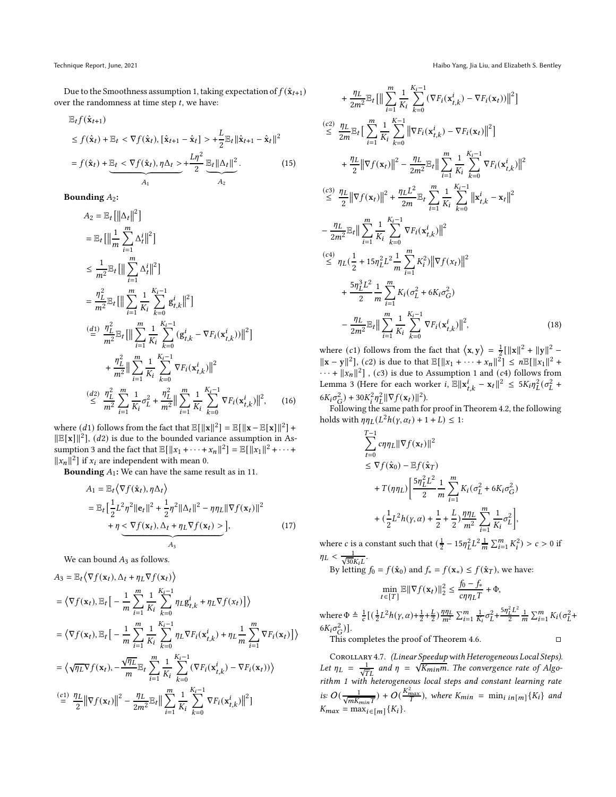Due to the Smoothness assumption [1,](#page-3-6) taking expectation of  $f(\hat{\mathbf{x}}_{t+1})$ over the randomness at time step  $t$ , we have:

$$
\mathbb{E}_{t}f(\hat{\mathbf{x}}_{t+1})
$$
\n
$$
\leq f(\hat{\mathbf{x}}_{t}) + \mathbb{E}_{t} < \nabla f(\hat{\mathbf{x}}_{t}), [\hat{\mathbf{x}}_{t+1} - \hat{\mathbf{x}}_{t}] > + \frac{L}{2} \mathbb{E}_{t} ||\hat{\mathbf{x}}_{t+1} - \hat{\mathbf{x}}_{t}||^{2}
$$
\n
$$
= f(\hat{\mathbf{x}}_{t}) + \underbrace{\mathbb{E}_{t} < \nabla f(\hat{\mathbf{x}}_{t}), \eta \Delta_{t} > + \frac{L\eta^{2}}{2} \underbrace{\mathbb{E}_{t} ||\Delta_{t}||^{2}}_{A_{2}}.
$$
\n
$$
(15)
$$

Bounding  $A_2$ :

$$
A_{2} = \mathbb{E}_{t} [\left\| \Delta_{t} \right\|^{2}]
$$
  
\n
$$
= \mathbb{E}_{t} [\left\| \frac{1}{m} \sum_{i=1}^{m} \Delta_{t}^{i} \right\|^{2}]
$$
  
\n
$$
\leq \frac{1}{m^{2}} \mathbb{E}_{t} [\left\| \sum_{i=1}^{m} \Delta_{t}^{i} \right\|^{2}]
$$
  
\n
$$
= \frac{\eta_{L}^{2}}{m^{2}} \mathbb{E}_{t} [\left\| \sum_{i=1}^{m} \frac{1}{K_{i}} \sum_{k=0}^{K_{i}-1} g_{t,k}^{i} \right\|^{2}]
$$
  
\n
$$
\stackrel{(d)}{=} \frac{\eta_{L}^{2}}{m^{2}} \mathbb{E}_{t} [\left\| \sum_{i=1}^{m} \frac{1}{K_{i}} \sum_{k=0}^{K_{i}-1} (g_{t,k}^{i} - \nabla F_{i}(\mathbf{x}_{t,k}^{i})) \right\|^{2}]
$$
  
\n
$$
+ \frac{\eta_{L}^{2}}{m^{2}} \left\| \sum_{i=1}^{m} \frac{1}{K_{i}} \sum_{k=0}^{K_{i}-1} \nabla F_{i}(\mathbf{x}_{t,k}^{i}) \right\|^{2}
$$
  
\n
$$
\stackrel{(d)}{\leq} \frac{\eta_{L}^{2}}{m^{2}} \sum_{i=1}^{m} \frac{1}{K_{i}} \sigma_{L}^{2} + \frac{\eta_{L}^{2}}{m^{2}} \left\| \sum_{i=1}^{m} \frac{1}{K_{i}} \sum_{k=0}^{K_{i}-1} \nabla F_{i}(\mathbf{x}_{t,k}^{i}) \right\|^{2}, \quad (16)
$$

where  $(d1)$  follows from the fact that  $\mathbb{E}[\|\mathbf{x}\|^2] = \mathbb{E}[\|\mathbf{x} - \mathbb{E}[\mathbf{x}]\|^2] +$  $\|\mathbb{E}[\mathbf{x}]\|^2$ , (*d*2) is due to the bounded variance assumption in As-sumption [3](#page-3-5) and the fact that  $\mathbb{E}[\Vert x_1 + \cdots + x_n \Vert^2] = \mathbb{E}[\Vert x_1 \Vert^2 + \cdots + x_n \Vert^2]$  $||x_n||^2$  if  $x_i$  are independent with mean 0.

**Bounding**  $A_1$ : We can have the same result as in [11.](#page-10-1)

$$
A_1 = \mathbb{E}_t \langle \nabla f(\hat{\mathbf{x}}_t), \eta \Delta_t \rangle
$$
  
\n
$$
= \mathbb{E}_t \Big[ \frac{1}{2} L^2 \eta^2 \|\mathbf{e}_t\|^2 + \frac{1}{2} \eta^2 \|\Delta_t\|^2 - \eta \eta_L \|\nabla f(\mathbf{x}_t)\|^2
$$
  
\n
$$
+ \eta \leq \nabla f(\mathbf{x}_t), \Delta_t + \eta_L \nabla f(\mathbf{x}_t) > \Big],
$$
\n(17)

We can bound  $A_3$  as follows.

$$
A_3 = \mathbb{E}_t \langle \nabla f(\mathbf{x}_t), \Delta_t + \eta_L \nabla f(\mathbf{x}_t) \rangle
$$
  
\n
$$
= \langle \nabla f(\mathbf{x}_t), \mathbb{E}_t \Big[ -\frac{1}{m} \sum_{i=1}^m \frac{1}{K_i} \sum_{k=0}^{K_i - 1} \eta_L g_{t,k}^i + \eta_L \nabla f(\mathbf{x}_t) \Big] \rangle
$$
  
\n
$$
= \langle \nabla f(\mathbf{x}_t), \mathbb{E}_t \Big[ -\frac{1}{m} \sum_{i=1}^m \frac{1}{K_i} \sum_{k=0}^{K_i - 1} \eta_L \nabla F_i(\mathbf{x}_{t,k}^i) + \eta_L \frac{1}{m} \sum_{i=1}^m \nabla F_i(\mathbf{x}_t) \Big] \rangle
$$
  
\n
$$
= \langle \sqrt{\eta_L} \nabla f(\mathbf{x}_t), -\frac{\sqrt{\eta_L}}{m} \mathbb{E}_t \sum_{i=1}^m \frac{1}{K_i} \sum_{k=0}^{K_i - 1} (\nabla F_i(\mathbf{x}_{t,k}^i) - \nabla F_i(\mathbf{x}_t)) \rangle
$$
  
\n
$$
\stackrel{\text{(c1)}}{=} \frac{\eta_L}{2} ||\nabla f(\mathbf{x}_t)||^2 - \frac{\eta_L}{2m^2} \mathbb{E}_t || \sum_{i=1}^m \frac{1}{K_i} \sum_{k=0}^{K_i - 1} \nabla F_i(\mathbf{x}_{t,k}^i) ||^2 ]
$$

Technique Report, June, 2021 Haibo Yang, Jia Liu, and Elizabeth S. Bentley

$$
+\frac{\eta_{L}}{2m^{2}}\mathbb{E}_{t}\left[\|\sum_{i=1}^{m}\frac{1}{K_{i}}\sum_{k=0}^{K_{i}-1}(\nabla F_{i}(\mathbf{x}_{t,k}^{i}) - \nabla F_{i}(\mathbf{x}_{t}))\|^{2}\right]
$$
\n
$$
\leq \frac{\eta_{L}}{2m}\mathbb{E}_{t}\left[\sum_{i=1}^{m}\frac{1}{K_{i}}\sum_{k=0}^{K-1}\|\nabla F_{i}(\mathbf{x}_{t,k}^{i}) - \nabla F_{i}(\mathbf{x}_{t})\|^{2}\right]
$$
\n
$$
+\frac{\eta_{L}}{2}\|\nabla f(\mathbf{x}_{t})\|^{2} - \frac{\eta_{L}}{2m^{2}}\mathbb{E}_{t}\|\sum_{i=1}^{m}\frac{1}{K_{i}}\sum_{k=0}^{K_{i}-1}\nabla F_{i}(\mathbf{x}_{t,k}^{i})\|^{2}
$$
\n
$$
\leq \frac{\eta_{L}}{2}\|\nabla f(\mathbf{x}_{t})\|^{2} + \frac{\eta_{L}L^{2}}{2m}\mathbb{E}_{t}\sum_{i=1}^{m}\frac{1}{K_{i}}\sum_{k=0}^{K_{i}-1}\|\mathbf{x}_{t,k}^{i} - \mathbf{x}_{t}\|^{2}
$$
\n
$$
-\frac{\eta_{L}}{2m^{2}}\mathbb{E}_{t}\|\sum_{i=1}^{m}\frac{1}{K_{i}}\sum_{k=0}^{K_{i}-1}\nabla F_{i}(\mathbf{x}_{t,k}^{i})\|^{2}
$$
\n
$$
\leq \eta_{L}(\frac{1}{2} + 15\eta_{L}^{2}L^{2}\frac{1}{m}\sum_{i=1}^{m}K_{i}^{2})\|\nabla f(\mathbf{x}_{t})\|^{2}
$$
\n
$$
+\frac{5\eta_{L}^{3}L^{2}}{2}\frac{1}{m}\sum_{i=1}^{m}K_{i}(\sigma_{L}^{2} + 6K_{i}\sigma_{G}^{2})
$$
\n
$$
-\frac{\eta_{L}}{2m^{2}}\mathbb{E}_{t}\|\sum_{i=1}^{m}\frac{1}{K_{i}}\sum_{k=0}^{K_{i}-1}\nabla F_{i}(\mathbf{x}_{t,k}^{i})\|^{2}, \qquad (18)
$$

where (*c*<sub>1</sub>) follows from the fact that  $\langle x, y \rangle = \frac{1}{2} [||x||^2 + ||y||^2 \|\mathbf{x} - \mathbf{y}\|^2$ , (c2) is due to that  $\mathbb{E}[\|x_1 + \cdots + x_n\|^2] \le n \mathbb{E}[\|x_1\|^2 +$  $\cdots$  +  $||x_n||^2$ ], (c3) is due to Assumption [1](#page-3-6) and (c4) follows from Lemma [3](#page-14-0) (Here for each worker  $i$ ,  $\mathbb{E} \|\mathbf{x}_{t,k}^i - \mathbf{x}_t\|^2 \le 5K_i \eta_L^2 (\sigma_L^2 + \sigma_L^2)$  $6K_i\sigma_G^2$  +  $30K_i^2\eta_L^2 \|\nabla f(\mathbf{x}_t)\|^2$ .

Following the same path for proof in Theorem [4.2,](#page-4-2) the following holds with  $\eta \eta_L(L^2 h(\gamma, \alpha_t) + 1 + L) \leq 1$ :

$$
\sum_{t=0}^{T-1} c\eta \eta_L ||\nabla f(\mathbf{x}_t)||^2
$$
\n
$$
\leq \nabla f(\hat{\mathbf{x}}_0) - \mathbb{E} f(\hat{\mathbf{x}}_T)
$$
\n
$$
+ T(\eta \eta_L) \left[ \frac{5\eta_L^2 L^2}{2} \frac{1}{m} \sum_{i=1}^m K_i (\sigma_L^2 + 6K_i \sigma_G^2) + (\frac{1}{2} L^2 h(\gamma, \alpha) + \frac{1}{2} + \frac{L}{2}) \frac{\eta \eta_L}{m^2} \sum_{i=1}^m \frac{1}{K_i} \sigma_L^2 \right],
$$

where *c* is a constant such that  $(\frac{1}{2} - 15\eta_L^2 L^2 \frac{1}{m} \sum_{i=1}^m K_i^2) > c > 0$  if  $\eta_L < \frac{1}{\sqrt{30}K_iL}$ .

By letting 
$$
f_0 = f(\hat{\mathbf{x}}_0)
$$
 and  $f_* = f(\mathbf{x}_*) \le f(\hat{\mathbf{x}}_T)$ , we have:  
\n
$$
\min_{t \in [T]} \mathbb{E} \|\nabla f(\mathbf{x}_t)\|_2^2 \le \frac{f_0 - f_*}{c\eta \eta_L T} + \Phi,
$$

where  $\Phi \triangleq \frac{1}{c} \left[ \left( \frac{1}{2} L^2 h(\gamma, \alpha) + \frac{1}{2} + \frac{L}{2} \right) \frac{\eta \eta_L}{m^2} \sum_{i=1}^m \frac{1}{K_i} \sigma_L^2 + \frac{5 \eta_L^2 L^2}{2} \right]$  $\frac{L^2}{2} \frac{1}{m} \sum_{i=1}^m K_i (\sigma_L^2 +$  $6K_i\sigma_G^2$ )]. This completes the proof of Theorem [4.6.](#page-5-3)

COROLLARY 4.7. (Linear Speedup with Heterogeneous Local Steps). Let  $\eta_L = \frac{1}{\sqrt{T}L}$  and  $\eta = \sqrt{K_{min}m}$ . The convergence rate of Algorithm [1](#page-3-4) with heterogeneous local steps and constant learning rate is:  $O(\frac{1}{\sqrt{mK_{min}T}}) + O(\frac{K_{max}^2}{T})$ , where  $K_{min} = \min_{i \in [m]} \{K_i\}$  and  $K_{max} = \max_{i \in [m]} \{K_i\}.$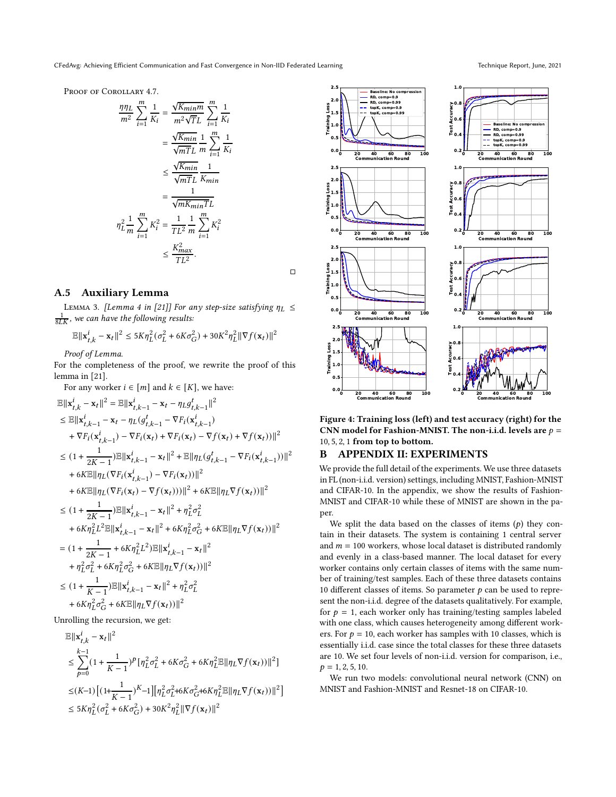CFedAvg: Achieving Efficient Communication and Fast Convergence in Non-IID Federated Learning Technique Report, June, 2021

PROOF OF COROLLARY [4.7.](#page-5-1)

$$
\frac{\eta \eta_L}{m^2} \sum_{i=1}^m \frac{1}{K_i} = \frac{\sqrt{K_{min}m}}{m^2 \sqrt{T}L} \sum_{i=1}^m \frac{1}{K_i}
$$

$$
= \frac{\sqrt{K_{min}}}{\sqrt{mT}L} \frac{1}{m} \sum_{i=1}^m \frac{1}{K_i}
$$

$$
\leq \frac{\sqrt{K_{min}}}{\sqrt{mT}L} \frac{1}{K_{min}}
$$

$$
= \frac{1}{\sqrt{mK_{min}T}L}
$$

$$
\eta_L^2 \frac{1}{m} \sum_{i=1}^m K_i^2 = \frac{1}{TL^2} \frac{1}{m} \sum_{i=1}^m K_i^2
$$

$$
\leq \frac{K_{max}^2}{TL^2}.
$$

 $\Box$ 

# A.5 Auxiliary Lemma

<span id="page-14-0"></span>LEMMA 3. [Lemma 4 in [\[21](#page-8-39)]] For any step-size satisfying  $\eta_L \leq$  $\frac{1}{8LK}$ , we can have the following results:

$$
\mathbb{E}\|\mathbf{x}_{t,k}^i - \mathbf{x}_t\|^2 \le 5K\eta_L^2(\sigma_L^2 + 6K\sigma_G^2) + 30K^2\eta_L^2\|\nabla f(\mathbf{x}_t)\|^2
$$

Proof of Lemma.

For the completeness of the proof, we rewrite the proof of this lemma in [\[21\]](#page-8-39).

For any worker  $i \in [m]$  and  $k \in [K]$ , we have:

$$
\mathbb{E}||\mathbf{x}_{t,k}^{i} - \mathbf{x}_{t}||^{2} = \mathbb{E}||\mathbf{x}_{t,k-1}^{i} - \mathbf{x}_{t} - \eta_{L}g_{t,k-1}^{t}||^{2}
$$
\n
$$
\leq \mathbb{E}||\mathbf{x}_{t,k-1}^{i} - \mathbf{x}_{t} - \eta_{L}(g_{t,k-1}^{i} - \nabla F_{i}(\mathbf{x}_{t,k-1}^{i}) + \nabla F_{i}(\mathbf{x}_{t,k-1}^{i}) - \nabla F_{i}(\mathbf{x}_{t}) + \nabla F_{i}(\mathbf{x}_{t}) - \nabla f(\mathbf{x}_{t}) + \nabla f(\mathbf{x}_{t}))||^{2}
$$
\n
$$
\leq (1 + \frac{1}{2K - 1})\mathbb{E}||\mathbf{x}_{t,k-1}^{i} - \mathbf{x}_{t}||^{2} + \mathbb{E}||\eta_{L}(g_{t,k-1}^{i} - \nabla F_{i}(\mathbf{x}_{t,k-1}^{i}))||^{2}
$$
\n
$$
+ 6K\mathbb{E}||\eta_{L}(\nabla F_{i}(\mathbf{x}_{t,k-1}^{i}) - \nabla F_{i}(\mathbf{x}_{t}))||^{2}
$$
\n
$$
+ 6K\mathbb{E}||\eta_{L}(\nabla F_{i}(\mathbf{x}_{t}) - \nabla f(\mathbf{x}_{t}))||^{2} + 6K\mathbb{E}||\eta_{L}\nabla f(\mathbf{x}_{t}))||^{2}
$$
\n
$$
\leq (1 + \frac{1}{2K - 1})\mathbb{E}||\mathbf{x}_{t,k-1}^{i} - \mathbf{x}_{t}||^{2} + \eta_{L}^{2}\sigma_{L}^{2}
$$
\n
$$
+ 6K\eta_{L}^{2}L^{2}\mathbb{E}||\mathbf{x}_{t,k-1}^{i} - \mathbf{x}_{t}||^{2} + 6K\eta_{L}^{2}\sigma_{G}^{2} + 6K\mathbb{E}||\eta_{L}\nabla f(\mathbf{x}_{t}))||^{2}
$$
\n
$$
= (1 + \frac{1}{2K - 1} + 6K\eta_{L}^{2}L^{2})\mathbb{E}||\mathbf{x}_{t,k-1}^{i} - \mathbf{x}_{t}||^{2}
$$
\n

Unrolling the recursion, we get:

$$
\label{eq:4.1} \begin{split} &\mathbb{E}\|\mathbf{x}_{t,k}^i-\mathbf{x}_t\|^2\\ &\leq \sum_{p=0}^{k-1}(1+\frac{1}{K-1})^p\big[\eta_{L}^2\sigma_{L}^2+6K\sigma_{G}^2+6K\eta_{L}^2\mathbb{E}\|\eta_{L}\nabla f(\mathbf{x}_t))\|^2\big]\\ &\leq (K\!-\!1)\Big[(1\!+\!\frac{1}{K-1})^{K}\!-\!1\Big]\big[\eta_{L}^2\sigma_{L}^2\!+\!6K\sigma_{G}^2\!+\!6K\eta_{L}^2\mathbb{E}\|\eta_{L}\nabla f(\mathbf{x}_t))\|^2\Big]\\ &\leq 5K\eta_{L}^2\big(\sigma_{L}^2+6K\sigma_{G}^2\big)+30K^2\eta_{L}^2\|\nabla f(\mathbf{x}_t)\|^2 \end{split}
$$

<span id="page-14-1"></span>

Figure 4: Training loss (left) and test accuracy (right) for the CNN model for Fashion-MNIST. The non-i.i.d. levels are  $p =$ 10, 5, 2, 1 from top to bottom.

### B APPENDIX II: EXPERIMENTS

We provide the full detail of the experiments. We use three datasets in FL (non-i.i.d. version) settings, including MNIST, Fashion-MNIST and CIFAR-10. In the appendix, we show the results of Fashion-MNIST and CIFAR-10 while these of MNIST are shown in the paper.

We split the data based on the classes of items  $(p)$  they contain in their datasets. The system is containing 1 central server and  $m = 100$  workers, whose local dataset is distributed randomly and evenly in a class-based manner. The local dataset for every worker contains only certain classes of items with the same number of training/test samples. Each of these three datasets contains 10 different classes of items. So parameter  $p$  can be used to represent the non-i.i.d. degree of the datasets qualitatively. For example, for  $p = 1$ , each worker only has training/testing samples labeled with one class, which causes heterogeneity among different workers. For  $p = 10$ , each worker has samples with 10 classes, which is essentially i.i.d. case since the total classes for these three datasets are 10. We set four levels of non-i.i.d. version for comparison, i.e.,  $p = 1, 2, 5, 10.$ 

We run two models: convolutional neural network (CNN) on MNIST and Fashion-MNIST and Resnet-18 on CIFAR-10.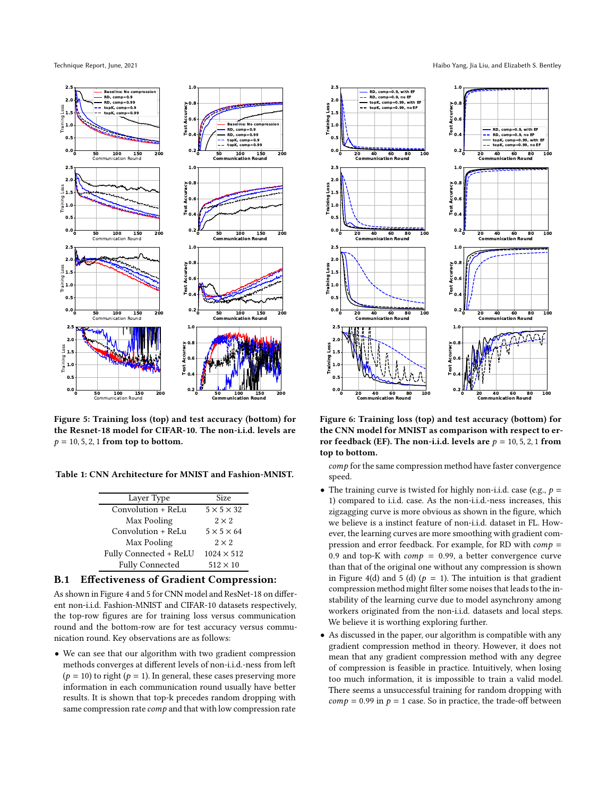<span id="page-15-0"></span>



Figure 5: Training loss (top) and test accuracy (bottom) for the Resnet-18 model for CIFAR-10. The non-i.i.d. levels are  $p = 10, 5, 2, 1$  from top to bottom.

Table 1: CNN Architecture for MNIST and Fashion-MNIST.

| Layer Type             | Size                   |
|------------------------|------------------------|
| Convolution + ReLu     | $5 \times 5 \times 32$ |
| Max Pooling            | $2 \times 2$           |
| Convolution + ReLu     | $5 \times 5 \times 64$ |
| Max Pooling            | $2 \times 2$           |
| Fully Connected + ReLU | $1024 \times 512$      |
| <b>Fully Connected</b> | $512 \times 10$        |

# B.1 Effectiveness of Gradient Compression:

As shown in Figure [4](#page-14-1) and [5](#page-15-0) for CNN model and ResNet-18 on different non-i.i.d. Fashion-MNIST and CIFAR-10 datasets respectively, the top-row figures are for training loss versus communication round and the bottom-row are for test accuracy versus communication round. Key observations are as follows:

• We can see that our algorithm with two gradient compression methods converges at different levels of non-i.i.d.-ness from left  $(p = 10)$  to right  $(p = 1)$ . In general, these cases preserving more information in each communication round usually have better results. It is shown that top-k precedes random dropping with same compression rate  $comp$  and that with low compression rate

<span id="page-15-1"></span>

Figure 6: Training loss (top) and test accuracy (bottom) for the CNN model for MNIST as comparison with respect to error feedback (EF). The non-i.i.d. levels are  $p = 10, 5, 2, 1$  from top to bottom.

 $comp$  for the same compression method have faster convergence speed.

- The training curve is twisted for highly non-i.i.d. case (e.g.,  $p =$ 1) compared to i.i.d. case. As the non-i.i.d.-ness increases, this zigzagging curve is more obvious as shown in the figure, which we believe is a instinct feature of non-i.i.d. dataset in FL. However, the learning curves are more smoothing with gradient compression and error feedback. For example, for RD with  $comp =$ 0.9 and top-K with  $comp = 0.99$ , a better convergence curve than that of the original one without any compression is shown in Figure [4\(](#page-14-1)d) and [5](#page-15-0) (d) ( $p = 1$ ). The intuition is that gradient compression method might filter some noises that leads to the instability of the learning curve due to model asynchrony among workers originated from the non-i.i.d. datasets and local steps. We believe it is worthing exploring further.
- As discussed in the paper, our algorithm is compatible with any gradient compression method in theory. However, it does not mean that any gradient compression method with any degree of compression is feasible in practice. Intuitively, when losing too much information, it is impossible to train a valid model. There seems a unsuccessful training for random dropping with  $comp = 0.99$  in  $p = 1$  case. So in practice, the trade-off between

Technique Report, June, 2021 Haibo Yang, Jia Liu, and Elizabeth S. Bentley